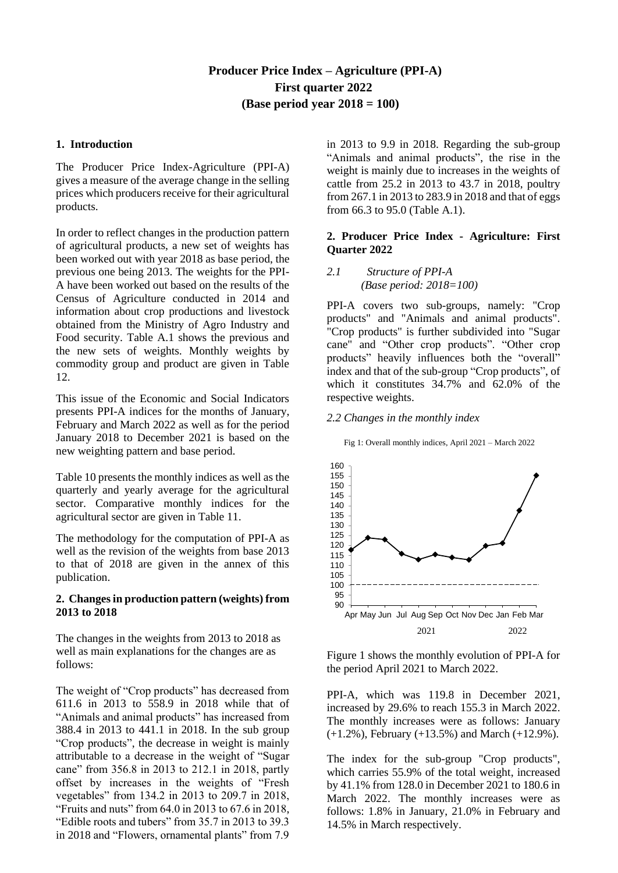# **Producer Price Index – Agriculture (PPI-A) First quarter 2022 (Base period year 2018 = 100)**

## **1. Introduction**

The Producer Price Index-Agriculture (PPI-A) gives a measure of the average change in the selling prices which producers receive for their agricultural products.

In order to reflect changes in the production pattern of agricultural products, a new set of weights has been worked out with year 2018 as base period, the previous one being 2013. The weights for the PPI-A have been worked out based on the results of the Census of Agriculture conducted in 2014 and information about crop productions and livestock obtained from the Ministry of Agro Industry and Food security. Table A.1 shows the previous and the new sets of weights. Monthly weights by commodity group and product are given in Table 12.

This issue of the Economic and Social Indicators presents PPI-A indices for the months of January, February and March 2022 as well as for the period January 2018 to December 2021 is based on the new weighting pattern and base period.

Table 10 presents the monthly indices as well as the quarterly and yearly average for the agricultural sector. Comparative monthly indices for the agricultural sector are given in Table 11.

The methodology for the computation of PPI-A as well as the revision of the weights from base 2013 to that of 2018 are given in the annex of this publication.

## **2. Changes in production pattern (weights) from 2013 to 2018**

The changes in the weights from 2013 to 2018 as well as main explanations for the changes are as follows:

The weight of "Crop products" has decreased from 611.6 in 2013 to 558.9 in 2018 while that of "Animals and animal products" has increased from 388.4 in 2013 to 441.1 in 2018. In the sub group "Crop products", the decrease in weight is mainly attributable to a decrease in the weight of "Sugar cane" from 356.8 in 2013 to 212.1 in 2018, partly offset by increases in the weights of "Fresh vegetables" from 134.2 in 2013 to 209.7 in 2018, "Fruits and nuts" from 64.0 in 2013 to 67.6 in 2018, "Edible roots and tubers" from 35.7 in 2013 to 39.3 in 2018 and "Flowers, ornamental plants" from 7.9

in 2013 to 9.9 in 2018. Regarding the sub-group "Animals and animal products", the rise in the weight is mainly due to increases in the weights of cattle from 25.2 in 2013 to 43.7 in 2018, poultry from 267.1 in 2013 to 283.9 in 2018 and that of eggs from 66.3 to 95.0 (Table A.1).

## **2. Producer Price Index - Agriculture: First Quarter 2022**

## *2.1 Structure of PPI-A (Base period: 2018=100)*

PPI-A covers two sub-groups, namely: "Crop products" and "Animals and animal products". "Crop products" is further subdivided into "Sugar cane" and "Other crop products". "Other crop products" heavily influences both the "overall" index and that of the sub-group "Crop products", of which it constitutes 34.7% and 62.0% of the respective weights.

#### *2.2 Changes in the monthly index*

Fig 1: Overall monthly indices, April 2021 – March 2022



Figure 1 shows the monthly evolution of PPI-A for the period April 2021 to March 2022.

PPI-A, which was 119.8 in December 2021, increased by 29.6% to reach 155.3 in March 2022. The monthly increases were as follows: January (+1.2%), February (+13.5%) and March (+12.9%).

The index for the sub-group "Crop products", which carries 55.9% of the total weight, increased by 41.1% from 128.0 in December 2021 to 180.6 in March 2022. The monthly increases were as follows: 1.8% in January, 21.0% in February and 14.5% in March respectively.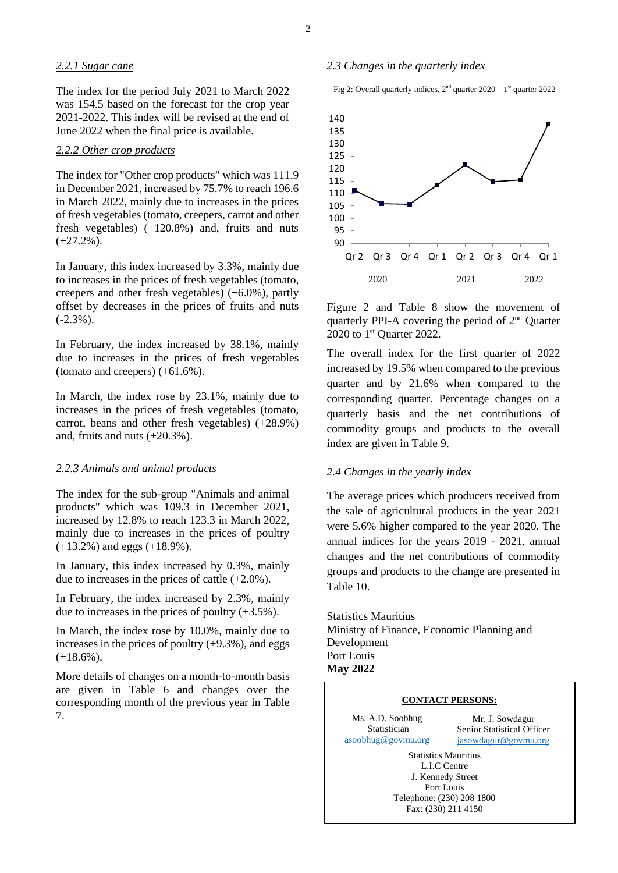#### *2.2.1 Sugar cane*

The index for the period July 2021 to March 2022 was 154.5 based on the forecast for the crop year 2021-2022. This index will be revised at the end of June 2022 when the final price is available.

#### *2.2.2 Other crop products*

The index for "Other crop products" which was 111.9 in December 2021, increased by 75.7% to reach 196.6 in March 2022, mainly due to increases in the prices of fresh vegetables (tomato, creepers, carrot and other fresh vegetables) (+120.8%) and, fruits and nuts  $(+27.2\%)$ .

In January, this index increased by 3.3%, mainly due to increases in the prices of fresh vegetables (tomato, creepers and other fresh vegetables) (+6.0%), partly offset by decreases in the prices of fruits and nuts  $(-2.3\%)$ .

In February, the index increased by 38.1%, mainly due to increases in the prices of fresh vegetables (tomato and creepers) (+61.6%).

In March, the index rose by 23.1%, mainly due to increases in the prices of fresh vegetables (tomato, carrot, beans and other fresh vegetables) (+28.9%) and, fruits and nuts (+20.3%).

#### *2.2.3 Animals and animal products*

The index for the sub-group "Animals and animal products" which was 109.3 in December 2021, increased by 12.8% to reach 123.3 in March 2022, mainly due to increases in the prices of poultry (+13.2%) and eggs (+18.9%).

In January, this index increased by 0.3%, mainly due to increases in the prices of cattle (+2.0%).

In February, the index increased by 2.3%, mainly due to increases in the prices of poultry (+3.5%).

In March, the index rose by 10.0%, mainly due to increases in the prices of poultry  $(+9.3\%)$ , and eggs  $(+18.6\%)$ .

More details of changes on a month-to-month basis are given in Table 6 and changes over the corresponding month of the previous year in Table 7.

#### *2.3 Changes in the quarterly index*

Fig 2: Overall quarterly indices,  $2<sup>nd</sup>$  quarter  $2020 - 1<sup>st</sup>$  quarter 2022



Figure 2 and Table 8 show the movement of quarterly PPI-A covering the period of 2<sup>nd</sup> Quarter 2020 to 1<sup>st</sup> Quarter 2022.

The overall index for the first quarter of 2022 increased by 19.5% when compared to the previous quarter and by 21.6% when compared to the corresponding quarter. Percentage changes on a quarterly basis and the net contributions of commodity groups and products to the overall index are given in Table 9.

#### *2.4 Changes in the yearly index*

The average prices which producers received from the sale of agricultural products in the year 2021 were 5.6% higher compared to the year 2020. The annual indices for the years 2019 - 2021, annual changes and the net contributions of commodity groups and products to the change are presented in Table 10.

Statistics Mauritius Ministry of Finance, Economic Planning and Development Port Louis **May 2022**

#### **CONTACT PERSONS:**

Ms. A.D. Soobhug Statistician [asoobhug@govmu.org](mailto:asoobhug@govmu.org)

Mr. J. Sowdagur Senior Statistical Officer [jasowdagur@govmu.org](mailto:jasowdagur@govmu.org)

Statistics Mauritius L.I.C Centre J. Kennedy Street Port Louis Telephone: (230) 208 1800 Fax: (230) 211 4150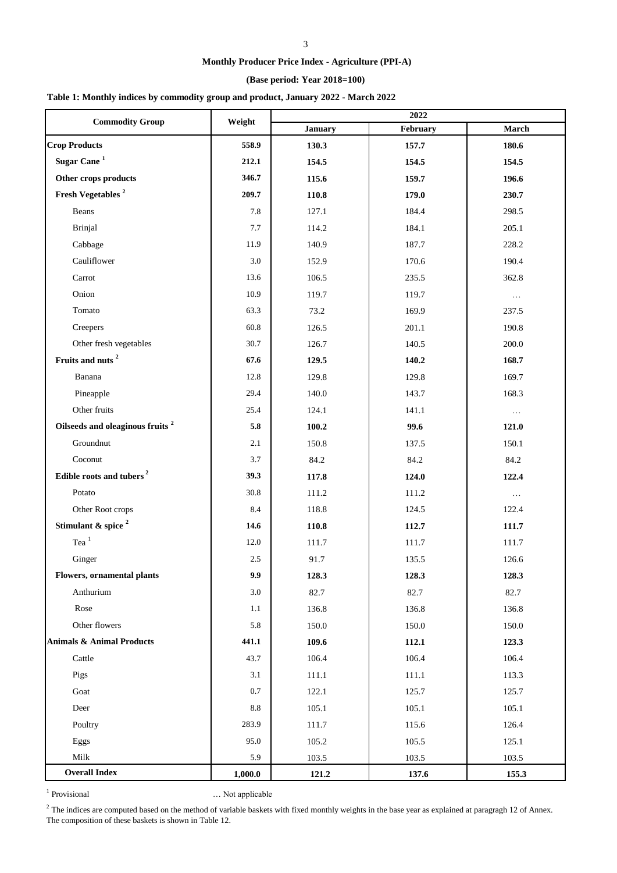## **(Base period: Year 2018=100)**

## **Table 1: Monthly indices by commodity group and product, January 2022 - March 2022**

| <b>Commodity Group</b>                      | Weight          |                | 2022     |          |
|---------------------------------------------|-----------------|----------------|----------|----------|
|                                             |                 | <b>January</b> | February | March    |
| <b>Crop Products</b>                        | 558.9           | 130.3          | 157.7    | 180.6    |
| Sugar Cane <sup>1</sup>                     | 212.1           | 154.5          | 154.5    | 154.5    |
| Other crops products                        | 346.7           | 115.6          | 159.7    | 196.6    |
| Fresh Vegetables <sup>2</sup>               | 209.7           | 110.8          | 179.0    | 230.7    |
| Beans                                       | 7.8             | 127.1          | 184.4    | 298.5    |
| <b>Brinjal</b>                              | 7.7             | 114.2          | 184.1    | 205.1    |
| Cabbage                                     | 11.9            | 140.9          | 187.7    | 228.2    |
| Cauliflower                                 | $3.0\,$         | 152.9          | 170.6    | 190.4    |
| Carrot                                      | 13.6            | 106.5          | 235.5    | 362.8    |
| Onion                                       | 10.9            | 119.7          | 119.7    | $\ldots$ |
| Tomato                                      | 63.3            | 73.2           | 169.9    | 237.5    |
| Creepers                                    | 60.8            | 126.5          | 201.1    | 190.8    |
| Other fresh vegetables                      | 30.7            | 126.7          | 140.5    | 200.0    |
| Fruits and nuts <sup>2</sup>                | 67.6            | 129.5          | 140.2    | 168.7    |
| Banana                                      | 12.8            | 129.8          | 129.8    | 169.7    |
| Pineapple                                   | 29.4            | 140.0          | 143.7    | 168.3    |
| Other fruits                                | 25.4            | 124.1          | 141.1    | $\ldots$ |
| Oilseeds and oleaginous fruits <sup>2</sup> | 5.8             | 100.2          | 99.6     | 121.0    |
| Groundnut                                   | 2.1             | 150.8          | 137.5    | 150.1    |
| Coconut                                     | 3.7             | 84.2           | 84.2     | 84.2     |
| Edible roots and tubers <sup>2</sup>        | 39.3            | 117.8          | 124.0    | 122.4    |
| Potato                                      | 30.8            | 111.2          | 111.2    | $\ldots$ |
| Other Root crops                            | 8.4             | 118.8          | 124.5    | 122.4    |
| Stimulant & spice <sup>2</sup>              | 14.6            | 110.8          | 112.7    | 111.7    |
| Tea $^{\mathrm{1}}$                         | 12.0            | 111.7          | 111.7    | 111.7    |
| Ginger                                      | 2.5             | 91.7           | 135.5    | 126.6    |
| <b>Flowers, ornamental plants</b>           | 9.9             | 128.3          | 128.3    | 128.3    |
| Anthurium                                   | 3.0             | 82.7           | 82.7     | 82.7     |
| Rose                                        | 1.1             | 136.8          | 136.8    | 136.8    |
| Other flowers                               | 5.8             | 150.0          | 150.0    | 150.0    |
| <b>Animals &amp; Animal Products</b>        | 441.1           | 109.6          | 112.1    | 123.3    |
| Cattle                                      | 43.7            | 106.4          | 106.4    | 106.4    |
| Pigs                                        | 3.1             | 111.1          | 111.1    | 113.3    |
| Goat                                        | $0.7\,$         | 122.1          | 125.7    | 125.7    |
| Deer                                        | $\!\!\!\!\!8.8$ | 105.1          | 105.1    | 105.1    |
| Poultry                                     | 283.9           | 111.7          | 115.6    | 126.4    |
| Eggs                                        | 95.0            | 105.2          | 105.5    | 125.1    |
| Milk                                        | 5.9             | 103.5          | 103.5    | 103.5    |
| <b>Overall Index</b>                        | 1,000.0         | 121.2          | 137.6    | 155.3    |

<sup>1</sup> Provisional

... Not applicable

 $2^2$  The indices are computed based on the method of variable baskets with fixed monthly weights in the base year as explained at paragragh 12 of Annex. The composition of these baskets is shown in Table 12.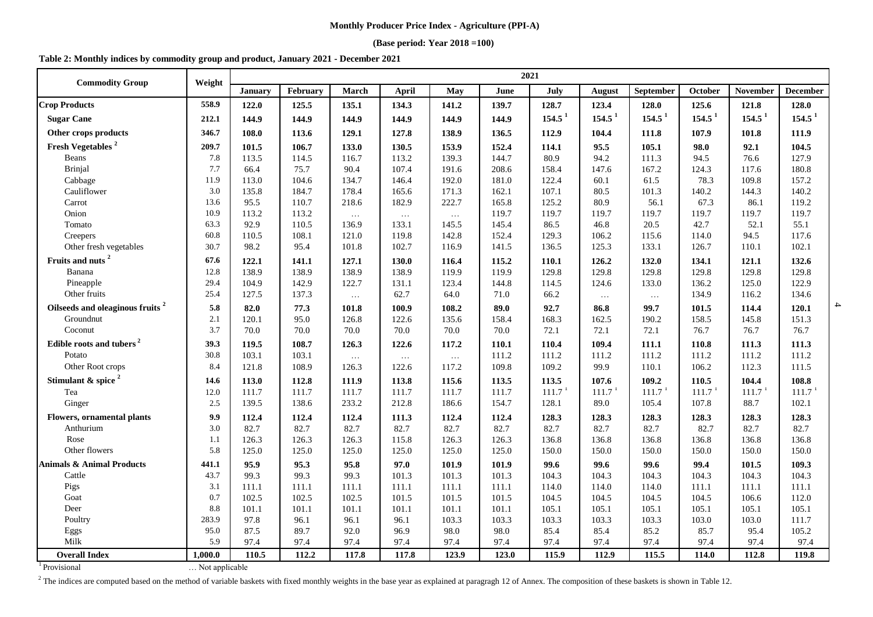#### **(Base period: Year 2018 =100)**

#### **Table 2: Monthly indices by commodity group and product, January 2021 - December 2021**

| <b>Commodity Group</b>                      | Weight  | 2021           |          |          |              |          |       |                    |                    |                    |                    |                    |                    |
|---------------------------------------------|---------|----------------|----------|----------|--------------|----------|-------|--------------------|--------------------|--------------------|--------------------|--------------------|--------------------|
|                                             |         | <b>January</b> | February | March    | <b>April</b> | May      | June  | July               | August             | September          | October            | <b>November</b>    | <b>December</b>    |
| <b>Crop Products</b>                        | 558.9   | 122.0          | 125.5    | 135.1    | 134.3        | 141.2    | 139.7 | 128.7              | 123.4              | 128.0              | 125.6              | 121.8              | 128.0              |
| <b>Sugar Cane</b>                           | 212.1   | 144.9          | 144.9    | 144.9    | 144.9        | 144.9    | 144.9 | 154.5 <sup>1</sup> | 154.5 <sup>1</sup> | 154.5 <sup>1</sup> | 154.5 <sup>1</sup> | 154.5 <sup>1</sup> | 154.5 <sup>1</sup> |
| Other crops products                        | 346.7   | 108.0          | 113.6    | 129.1    | 127.8        | 138.9    | 136.5 | 112.9              | 104.4              | 111.8              | 107.9              | 101.8              | 111.9              |
| Fresh Vegetables <sup>2</sup>               | 209.7   | 101.5          | 106.7    | 133.0    | 130.5        | 153.9    | 152.4 | 114.1              | 95.5               | 105.1              | 98.0               | 92.1               | 104.5              |
| Beans                                       | 7.8     | 113.5          | 114.5    | 116.7    | 113.2        | 139.3    | 144.7 | 80.9               | 94.2               | 111.3              | 94.5               | 76.6               | 127.9              |
| <b>Brinjal</b>                              | 7.7     | 66.4           | 75.7     | 90.4     | 107.4        | 191.6    | 208.6 | 158.4              | 147.6              | 167.2              | 124.3              | 117.6              | 180.8              |
| Cabbage                                     | 11.9    | 113.0          | 104.6    | 134.7    | 146.4        | 192.0    | 181.0 | 122.4              | 60.1               | 61.5               | 78.3               | 109.8              | 157.2              |
| Cauliflower                                 | 3.0     | 135.8          | 184.7    | 178.4    | 165.6        | 171.3    | 162.1 | 107.1              | 80.5               | 101.3              | 140.2              | 144.3              | 140.2              |
| Carrot                                      | 13.6    | 95.5           | 110.7    | 218.6    | 182.9        | 222.7    | 165.8 | 125.2              | 80.9               | 56.1               | 67.3               | 86.1               | 119.2              |
| Onion                                       | 10.9    | 113.2          | 113.2    | $\dots$  | $\ldots$     | $\dots$  | 119.7 | 119.7              | 119.7              | 119.7              | 119.7              | 119.7              | 119.7              |
| Tomato                                      | 63.3    | 92.9           | 110.5    | 136.9    | 133.1        | 145.5    | 145.4 | 86.5               | 46.8               | 20.5               | 42.7               | 52.1               | 55.1               |
| Creepers                                    | 60.8    | 110.5          | 108.1    | 121.0    | 119.8        | 142.8    | 152.4 | 129.3              | 106.2              | 115.6              | 114.0              | 94.5               | 117.6              |
| Other fresh vegetables                      | 30.7    | 98.2           | 95.4     | 101.8    | 102.7        | 116.9    | 141.5 | 136.5              | 125.3              | 133.1              | 126.7              | 110.1              | 102.1              |
| Fruits and nuts <sup>2</sup>                | 67.6    | 122.1          | 141.1    | 127.1    | 130.0        | 116.4    | 115.2 | 110.1              | 126.2              | 132.0              | 134.1              | 121.1              | 132.6              |
| Banana                                      | 12.8    | 138.9          | 138.9    | 138.9    | 138.9        | 119.9    | 119.9 | 129.8              | 129.8              | 129.8              | 129.8              | 129.8              | 129.8              |
| Pineapple                                   | 29.4    | 104.9          | 142.9    | 122.7    | 131.1        | 123.4    | 144.8 | 114.5              | 124.6              | 133.0              | 136.2              | 125.0              | 122.9              |
| Other fruits                                | 25.4    | 127.5          | 137.3    | $\ldots$ | 62.7         | 64.0     | 71.0  | 66.2               | $\ldots$           | $\dots$            | 134.9              | 116.2              | 134.6              |
| Oilseeds and oleaginous fruits <sup>2</sup> | 5.8     | 82.0           | 77.3     | 101.8    | 100.9        | 108.2    | 89.0  | 92.7               | 86.8               | 99.7               | 101.5              | 114.4              | 120.1              |
| Groundnut                                   | 2.1     | 120.1          | 95.0     | 126.8    | 122.6        | 135.6    | 158.4 | 168.3              | 162.5              | 190.2              | 158.5              | 145.8              | 151.3              |
| Coconut                                     | 3.7     | 70.0           | 70.0     | 70.0     | 70.0         | 70.0     | 70.0  | 72.1               | 72.1               | 72.1               | 76.7               | 76.7               | 76.7               |
| Edible roots and tubers <sup>2</sup>        | 39.3    | 119.5          | 108.7    | 126.3    | 122.6        | 117.2    | 110.1 | 110.4              | 109.4              | 111.1              | 110.8              | 111.3              | 111.3              |
| Potato                                      | 30.8    | 103.1          | 103.1    | $\ldots$ | $\cdots$     | $\cdots$ | 111.2 | 111.2              | 111.2              | 111.2              | 111.2              | 111.2              | 111.2              |
| Other Root crops                            | 8.4     | 121.8          | 108.9    | 126.3    | 122.6        | 117.2    | 109.8 | 109.2              | 99.9               | 110.1              | 106.2              | 112.3              | 111.5              |
| Stimulant & spice $2$                       | 14.6    | 113.0          | 112.8    | 111.9    | 113.8        | 115.6    | 113.5 | 113.5              | 107.6              | 109.2              | 110.5              | 104.4              | 108.8              |
| Tea                                         | 12.0    | 111.7          | 111.7    | 111.7    | 111.7        | 111.7    | 111.7 | 111.7 <sup>1</sup> | 111.7 <sup>1</sup> | 111.7 <sup>1</sup> | 111.7 <sup>1</sup> | 111.7 <sup>1</sup> | 111.7 <sup>1</sup> |
| Ginger                                      | 2.5     | 139.5          | 138.6    | 233.2    | 212.8        | 186.6    | 154.7 | 128.1              | 89.0               | 105.4              | 107.8              | 88.7               | 102.1              |
| <b>Flowers, ornamental plants</b>           | 9.9     | 112.4          | 112.4    | 112.4    | 111.3        | 112.4    | 112.4 | 128.3              | 128.3              | 128.3              | 128.3              | 128.3              | 128.3              |
| Anthurium                                   | 3.0     | 82.7           | 82.7     | 82.7     | 82.7         | 82.7     | 82.7  | 82.7               | 82.7               | 82.7               | 82.7               | 82.7               | 82.7               |
| Rose                                        | 1.1     | 126.3          | 126.3    | 126.3    | 115.8        | 126.3    | 126.3 | 136.8              | 136.8              | 136.8              | 136.8              | 136.8              | 136.8              |
| Other flowers                               | 5.8     | 125.0          | 125.0    | 125.0    | 125.0        | 125.0    | 125.0 | 150.0              | 150.0              | 150.0              | 150.0              | 150.0              | 150.0              |
| <b>Animals &amp; Animal Products</b>        | 441.1   | 95.9           | 95.3     | 95.8     | 97.0         | 101.9    | 101.9 | 99.6               | 99.6               | 99.6               | 99.4               | 101.5              | 109.3              |
| Cattle                                      | 43.7    | 99.3           | 99.3     | 99.3     | 101.3        | 101.3    | 101.3 | 104.3              | 104.3              | 104.3              | 104.3              | 104.3              | 104.3              |
| Pigs                                        | 3.1     | 111.1          | 111.1    | 111.1    | 111.1        | 111.1    | 111.1 | 114.0              | 114.0              | 114.0              | 111.1              | 111.1              | 111.1              |
| Goat                                        | 0.7     | 102.5          | 102.5    | 102.5    | 101.5        | 101.5    | 101.5 | 104.5              | 104.5              | 104.5              | 104.5              | 106.6              | 112.0              |
| Deer                                        | 8.8     | 101.1          | 101.1    | 101.1    | 101.1        | 101.1    | 101.1 | 105.1              | 105.1              | 105.1              | 105.1              | 105.1              | 105.1              |
| Poultry                                     | 283.9   | 97.8           | 96.1     | 96.1     | 96.1         | 103.3    | 103.3 | 103.3              | 103.3              | 103.3              | 103.0              | 103.0              | 111.7              |
| Eggs                                        | 95.0    | 87.5           | 89.7     | 92.0     | 96.9         | 98.0     | 98.0  | 85.4               | 85.4               | 85.2               | 85.7               | 95.4               | 105.2              |
| Milk                                        | 5.9     | 97.4           | 97.4     | 97.4     | 97.4         | 97.4     | 97.4  | 97.4               | 97.4               | 97.4               | 97.4               | 97.4               | 97.4               |
| <b>Overall Index</b>                        | 1.000.0 | 110.5          | 112.2    | 117.8    | 117.8        | 123.9    | 123.0 | 115.9              | 112.9              | 115.5              | 114.0              | 112.8              | 119.8              |

<sup>1</sup> Provisional **Exercise 2** … Not applicable

<sup>2</sup> The indices are computed based on the method of variable baskets with fixed monthly weights in the base year as explained at paragragh 12 of Annex. The composition of these baskets is shown in Table 12.

 $\rightarrow$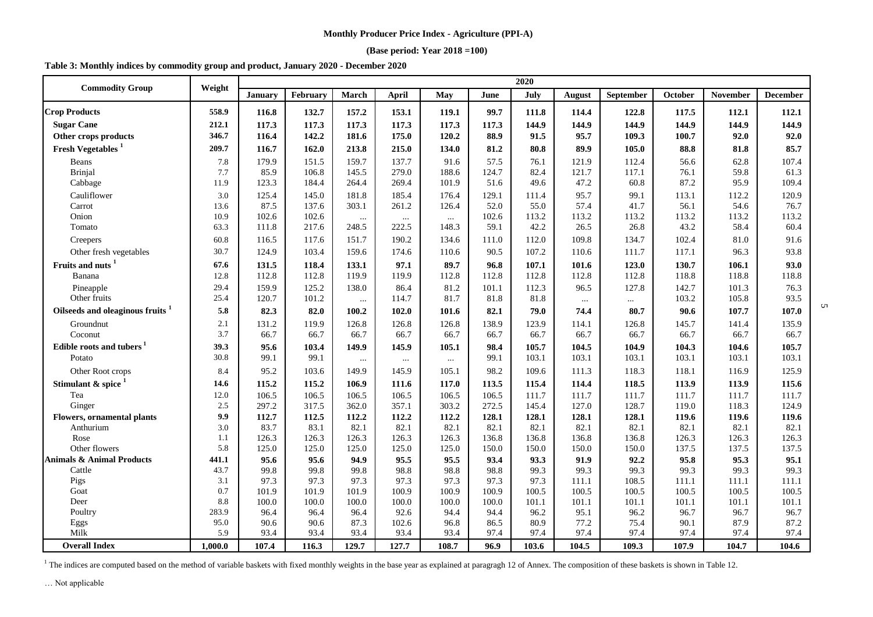#### **(Base period: Year 2018 =100)**

**Table 3: Monthly indices by commodity group and product, January 2020 - December 2020**

| <b>Commodity Group</b>               | Weight     |                |                |                |                |                |                | 2020           |                |                |                |                |                 |
|--------------------------------------|------------|----------------|----------------|----------------|----------------|----------------|----------------|----------------|----------------|----------------|----------------|----------------|-----------------|
|                                      |            | January        | February       | March          | <b>April</b>   | May            | June           | July           | <b>August</b>  | September      | October        | November       | <b>December</b> |
| <b>Crop Products</b>                 | 558.9      | 116.8          | 132.7          | 157.2          | 153.1          | 119.1          | 99.7           | 111.8          | 114.4          | 122.8          | 117.5          | 112.1          | 112.1           |
| <b>Sugar Cane</b>                    | 212.1      | 117.3          | 117.3          | 117.3          | 117.3          | 117.3          | 117.3          | 144.9          | 144.9          | 144.9          | 144.9          | 144.9          | 144.9           |
| Other crops products                 | 346.7      | 116.4          | 142.2          | 181.6          | 175.0          | 120.2          | 88.9           | 91.5           | 95.7           | 109.3          | 100.7          | 92.0           | 92.0            |
| Fresh Vegetables <sup>1</sup>        | 209.7      | 116.7          | 162.0          | 213.8          | 215.0          | 134.0          | 81.2           | 80.8           | 89.9           | 105.0          | 88.8           | 81.8           | 85.7            |
| Beans                                | 7.8        | 179.9          | 151.5          | 159.7          | 137.7          | 91.6           | 57.5           | 76.1           | 121.9          | 112.4          | 56.6           | 62.8           | 107.4           |
| <b>Brinjal</b>                       | 7.7        | 85.9           | 106.8          | 145.5          | 279.0          | 188.6          | 124.7          | 82.4           | 121.7          | 117.1          | 76.1           | 59.8           | 61.3            |
| Cabbage                              | 11.9       | 123.3          | 184.4          | 264.4          | 269.4          | 101.9          | 51.6           | 49.6           | 47.2           | 60.8           | 87.2           | 95.9           | 109.4           |
| Cauliflower                          | 3.0        | 125.4          | 145.0          | 181.8          | 185.4          | 176.4          | 129.1          | 111.4          | 95.7           | 99.1           | 113.1          | 112.2          | 120.9           |
| Carrot                               | 13.6       | 87.5           | 137.6          | 303.1          | 261.2          | 126.4          | 52.0           | 55.0           | 57.4           | 41.7           | 56.1           | 54.6           | 76.7            |
| Onion                                | 10.9       | 102.6          | 102.6          | $\ldots$       | $\cdots$       | $\cdots$       | 102.6          | 113.2          | 113.2          | 113.2          | 113.2          | 113.2          | 113.2           |
| Tomato                               | 63.3       | 111.8          | 217.6          | 248.5          | 222.5          | 148.3          | 59.1           | 42.2           | 26.5           | 26.8           | 43.2           | 58.4           | 60.4            |
| Creepers                             | 60.8       | 116.5          | 117.6          | 151.7          | 190.2          | 134.6          | 111.0          | 112.0          | 109.8          | 134.7          | 102.4          | 81.0           | 91.6            |
| Other fresh vegetables               | 30.7       | 124.9          | 103.4          | 159.6          | 174.6          | 110.6          | 90.5           | 107.2          | 110.6          | 111.7          | 117.1          | 96.3           | 93.8            |
| Fruits and nuts <sup>1</sup>         | 67.6       | 131.5          | 118.4          | 133.1          | 97.1           | 89.7           | 96.8           | 107.1          | 101.6          | 123.0          | 130.7          | 106.1          | 93.0            |
| Banana                               | 12.8       | 112.8          | 112.8          | 119.9          | 119.9          | 112.8          | 112.8          | 112.8          | 112.8          | 112.8          | 118.8          | 118.8          | 118.8           |
| Pineapple                            | 29.4       | 159.9          | 125.2          | 138.0          | 86.4           | 81.2           | 101.1          | 112.3          | 96.5           | 127.8          | 142.7          | 101.3          | 76.3            |
| Other fruits                         | 25.4       | 120.7          | 101.2          | $\ldots$       | 114.7          | 81.7           | 81.8           | 81.8           | $\ldots$       | $\cdots$       | 103.2          | 105.8          | 93.5            |
| Oilseeds and oleaginous fruits       | 5.8        | 82.3           | 82.0           | 100.2          | 102.0          | 101.6          | 82.1           | 79.0           | 74.4           | 80.7           | 90.6           | 107.7          | 107.0           |
| Groundnut                            | 2.1        | 131.2          | 119.9          | 126.8          | 126.8          | 126.8          | 138.9          | 123.9          | 114.1          | 126.8          | 145.7          | 141.4          | 135.9           |
| Coconut                              | 3.7        | 66.7           | 66.7           | 66.7           | 66.7           | 66.7           | 66.7           | 66.7           | 66.7           | 66.7           | 66.7           | 66.7           | 66.7            |
| Edible roots and tubers <sup>1</sup> | 39.3       | 95.6           | 103.4          | 149.9          | 145.9          | 105.1          | 98.4           | 105.7          | 104.5          | 104.9          | 104.3          | 104.6          | 105.7           |
| Potato                               | 30.8       | 99.1           | 99.1           | $\cdots$       | $\ldots$       | $\cdots$       | 99.1           | 103.1          | 103.1          | 103.1          | 103.1          | 103.1          | 103.1           |
| Other Root crops                     | 8.4        | 95.2           | 103.6          | 149.9          | 145.9          | 105.1          | 98.2           | 109.6          | 111.3          | 118.3          | 118.1          | 116.9          | 125.9           |
| Stimulant & spice $1$                | 14.6       | 115.2          | 115.2          | 106.9          | 111.6          | 117.0          | 113.5          | 115.4          | 114.4          | 118.5          | 113.9          | 113.9          | 115.6           |
| Tea                                  | 12.0       | 106.5          | 106.5          | 106.5          | 106.5          | 106.5          | 106.5          | 111.7          | 111.7          | 111.7          | 111.7          | 111.7          | 111.7           |
| Ginger                               | 2.5        | 297.2          | 317.5          | 362.0          | 357.1          | 303.2          | 272.5          | 145.4          | 127.0          | 128.7          | 119.0          | 118.3          | 124.9           |
| <b>Flowers, ornamental plants</b>    | 9.9        | 112.7          | 112.5          | 112.2          | 112.2          | 112.2          | 128.1          | 128.1          | 128.1          | 128.1          | 119.6          | 119.6          | 119.6           |
| Anthurium                            | 3.0        | 83.7           | 83.1           | 82.1           | 82.1           | 82.1           | 82.1           | 82.1           | 82.1           | 82.1           | 82.1           | 82.1           | 82.1            |
| Rose                                 | 1.1        | 126.3          | 126.3          | 126.3          | 126.3          | 126.3          | 136.8          | 136.8          | 136.8          | 136.8          | 126.3          | 126.3          | 126.3           |
| Other flowers                        | 5.8        | 125.0          | 125.0          | 125.0          | 125.0          | 125.0          | 150.0          | 150.0          | 150.0          | 150.0          | 137.5          | 137.5          | 137.5           |
| <b>Animals &amp; Animal Products</b> | 441.1      | 95.6           | 95.6           | 94.9           | 95.5           | 95.5           | 93.4           | 93.3           | 91.9           | 92.2           | 95.8           | 95.3           | 95.1            |
| Cattle                               | 43.7       | 99.8           | 99.8           | 99.8           | 98.8           | 98.8           | 98.8           | 99.3           | 99.3           | 99.3           | 99.3           | 99.3           | 99.3            |
| Pigs                                 | 3.1        | 97.3           | 97.3           | 97.3           | 97.3           | 97.3           | 97.3           | 97.3           | 111.1          | 108.5          | 111.1          | 111.1          | 111.1           |
| Goat<br>Deer                         | 0.7<br>8.8 | 101.9<br>100.0 | 101.9<br>100.0 | 101.9<br>100.0 | 100.9<br>100.0 | 100.9<br>100.0 | 100.9<br>100.0 | 100.5<br>101.1 | 100.5<br>101.1 | 100.5<br>101.1 | 100.5<br>101.1 | 100.5<br>101.1 | 100.5<br>101.1  |
| Poultry                              | 283.9      | 96.4           | 96.4           | 96.4           | 92.6           | 94.4           | 94.4           | 96.2           | 95.1           | 96.2           | 96.7           | 96.7           | 96.7            |
| Eggs                                 | 95.0       | 90.6           | 90.6           | 87.3           | 102.6          | 96.8           | 86.5           | 80.9           | 77.2           | 75.4           | 90.1           | 87.9           | 87.2            |
| Milk                                 | 5.9        | 93.4           | 93.4           | 93.4           | 93.4           | 93.4           | 97.4           | 97.4           | 97.4           | 97.4           | 97.4           | 97.4           | 97.4            |
| <b>Overall Index</b>                 | 1.000.0    | 107.4          | 116.3          | 129.7          | 127.7          | 108.7          | 96.9           | 103.6          | 104.5          | 109.3          | 107.9          | 104.7          | 104.6           |

 $\sigma$ 

<sup>1</sup> The indices are computed based on the method of variable baskets with fixed monthly weights in the base year as explained at paragragh 12 of Annex. The composition of these baskets is shown in Table 12.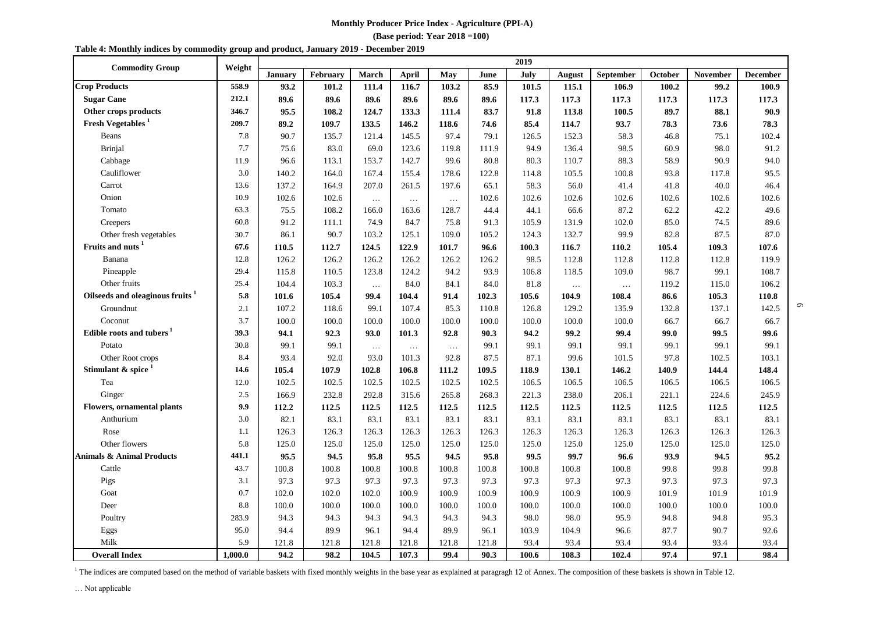**(Base period: Year 2018 =100)**

| <b>Commodity Group</b>                      | 2019<br>Weight |         |          |          |          |          |       |       |          |           |         |                 |                 |  |  |  |
|---------------------------------------------|----------------|---------|----------|----------|----------|----------|-------|-------|----------|-----------|---------|-----------------|-----------------|--|--|--|
|                                             |                | January | February | March    | April    | May      | June  | July  | August   | September | October | <b>November</b> | <b>December</b> |  |  |  |
| <b>Crop Products</b>                        | 558.9          | 93.2    | 101.2    | 111.4    | 116.7    | 103.2    | 85.9  | 101.5 | 115.1    | 106.9     | 100.2   | 99.2            | 100.9           |  |  |  |
| <b>Sugar Cane</b>                           | 212.1          | 89.6    | 89.6     | 89.6     | 89.6     | 89.6     | 89.6  | 117.3 | 117.3    | 117.3     | 117.3   | 117.3           | 117.3           |  |  |  |
| Other crops products                        | 346.7          | 95.5    | 108.2    | 124.7    | 133.3    | 111.4    | 83.7  | 91.8  | 113.8    | 100.5     | 89.7    | 88.1            | 90.9            |  |  |  |
| <b>Fresh Vegetables</b> <sup>1</sup>        | 209.7          | 89.2    | 109.7    | 133.5    | 146.2    | 118.6    | 74.6  | 85.4  | 114.7    | 93.7      | 78.3    | 73.6            | 78.3            |  |  |  |
| <b>Beans</b>                                | 7.8            | 90.7    | 135.7    | 121.4    | 145.5    | 97.4     | 79.1  | 126.5 | 152.3    | 58.3      | 46.8    | 75.1            | 102.4           |  |  |  |
| <b>Brinjal</b>                              | 7.7            | 75.6    | 83.0     | 69.0     | 123.6    | 119.8    | 111.9 | 94.9  | 136.4    | 98.5      | 60.9    | 98.0            | 91.2            |  |  |  |
| Cabbage                                     | 11.9           | 96.6    | 113.1    | 153.7    | 142.7    | 99.6     | 80.8  | 80.3  | 110.7    | 88.3      | 58.9    | 90.9            | 94.0            |  |  |  |
| Cauliflower                                 | 3.0            | 140.2   | 164.0    | 167.4    | 155.4    | 178.6    | 122.8 | 114.8 | 105.5    | 100.8     | 93.8    | 117.8           | 95.5            |  |  |  |
| Carrot                                      | 13.6           | 137.2   | 164.9    | 207.0    | 261.5    | 197.6    | 65.1  | 58.3  | 56.0     | 41.4      | 41.8    | 40.0            | 46.4            |  |  |  |
| Onion                                       | 10.9           | 102.6   | 102.6    | $\ddots$ | $\ldots$ | $\ldots$ | 102.6 | 102.6 | 102.6    | 102.6     | 102.6   | 102.6           | 102.6           |  |  |  |
| Tomato                                      | 63.3           | 75.5    | 108.2    | 166.0    | 163.6    | 128.7    | 44.4  | 44.1  | 66.6     | 87.2      | 62.2    | 42.2            | 49.6            |  |  |  |
| Creepers                                    | 60.8           | 91.2    | 111.1    | 74.9     | 84.7     | 75.8     | 91.3  | 105.9 | 131.9    | 102.0     | 85.0    | 74.5            | 89.6            |  |  |  |
| Other fresh vegetables                      | 30.7           | 86.1    | 90.7     | 103.2    | 125.1    | 109.0    | 105.2 | 124.3 | 132.7    | 99.9      | 82.8    | 87.5            | 87.0            |  |  |  |
| Fruits and nuts <sup>1</sup>                | 67.6           | 110.5   | 112.7    | 124.5    | 122.9    | 101.7    | 96.6  | 100.3 | 116.7    | 110.2     | 105.4   | 109.3           | 107.6           |  |  |  |
| Banana                                      | 12.8           | 126.2   | 126.2    | 126.2    | 126.2    | 126.2    | 126.2 | 98.5  | 112.8    | 112.8     | 112.8   | 112.8           | 119.9           |  |  |  |
| Pineapple                                   | 29.4           | 115.8   | 110.5    | 123.8    | 124.2    | 94.2     | 93.9  | 106.8 | 118.5    | 109.0     | 98.7    | 99.1            | 108.7           |  |  |  |
| Other fruits                                | 25.4           | 104.4   | 103.3    | $\ddots$ | 84.0     | 84.1     | 84.0  | 81.8  | $\ldots$ | $\ldots$  | 119.2   | 115.0           | 106.2           |  |  |  |
| Oilseeds and oleaginous fruits <sup>1</sup> | 5.8            | 101.6   | 105.4    | 99.4     | 104.4    | 91.4     | 102.3 | 105.6 | 104.9    | 108.4     | 86.6    | 105.3           | 110.8           |  |  |  |
| Groundnut                                   | 2.1            | 107.2   | 118.6    | 99.1     | 107.4    | 85.3     | 110.8 | 126.8 | 129.2    | 135.9     | 132.8   | 137.1           | 142.5           |  |  |  |
| Coconut                                     | 3.7            | 100.0   | 100.0    | 100.0    | 100.0    | 100.0    | 100.0 | 100.0 | 100.0    | 100.0     | 66.7    | 66.7            | 66.7            |  |  |  |
| Edible roots and tubers <sup>1</sup>        | 39.3           | 94.1    | 92.3     | 93.0     | 101.3    | 92.8     | 90.3  | 94.2  | 99.2     | 99.4      | 99.0    | 99.5            | 99.6            |  |  |  |
| Potato                                      | 30.8           | 99.1    | 99.1     | $\ldots$ | $\ldots$ | $\ldots$ | 99.1  | 99.1  | 99.1     | 99.1      | 99.1    | 99.1            | 99.1            |  |  |  |
| Other Root crops                            | 8.4            | 93.4    | 92.0     | 93.0     | 101.3    | 92.8     | 87.5  | 87.1  | 99.6     | 101.5     | 97.8    | 102.5           | 103.1           |  |  |  |
| Stimulant & spice                           | 14.6           | 105.4   | 107.9    | 102.8    | 106.8    | 111.2    | 109.5 | 118.9 | 130.1    | 146.2     | 140.9   | 144.4           | 148.4           |  |  |  |
| Tea                                         | 12.0           | 102.5   | 102.5    | 102.5    | 102.5    | 102.5    | 102.5 | 106.5 | 106.5    | 106.5     | 106.5   | 106.5           | 106.5           |  |  |  |
| Ginger                                      | 2.5            | 166.9   | 232.8    | 292.8    | 315.6    | 265.8    | 268.3 | 221.3 | 238.0    | 206.1     | 221.1   | 224.6           | 245.9           |  |  |  |
| <b>Flowers, ornamental plants</b>           | 9.9            | 112.2   | 112.5    | 112.5    | 112.5    | 112.5    | 112.5 | 112.5 | 112.5    | 112.5     | 112.5   | 112.5           | 112.5           |  |  |  |
| Anthurium                                   | 3.0            | 82.1    | 83.1     | 83.1     | 83.1     | 83.1     | 83.1  | 83.1  | 83.1     | 83.1      | 83.1    | 83.1            | 83.1            |  |  |  |
| Rose                                        | 1.1            | 126.3   | 126.3    | 126.3    | 126.3    | 126.3    | 126.3 | 126.3 | 126.3    | 126.3     | 126.3   | 126.3           | 126.3           |  |  |  |
| Other flowers                               | 5.8            | 125.0   | 125.0    | 125.0    | 125.0    | 125.0    | 125.0 | 125.0 | 125.0    | 125.0     | 125.0   | 125.0           | 125.0           |  |  |  |
| <b>Animals &amp; Animal Products</b>        | 441.1          | 95.5    | 94.5     | 95.8     | 95.5     | 94.5     | 95.8  | 99.5  | 99.7     | 96.6      | 93.9    | 94.5            | 95.2            |  |  |  |
| Cattle                                      | 43.7           | 100.8   | 100.8    | 100.8    | 100.8    | 100.8    | 100.8 | 100.8 | 100.8    | 100.8     | 99.8    | 99.8            | 99.8            |  |  |  |
| Pigs                                        | 3.1            | 97.3    | 97.3     | 97.3     | 97.3     | 97.3     | 97.3  | 97.3  | 97.3     | 97.3      | 97.3    | 97.3            | 97.3            |  |  |  |
| Goat                                        | 0.7            | 102.0   | 102.0    | 102.0    | 100.9    | 100.9    | 100.9 | 100.9 | 100.9    | 100.9     | 101.9   | 101.9           | 101.9           |  |  |  |
| Deer                                        | 8.8            | 100.0   | 100.0    | 100.0    | 100.0    | 100.0    | 100.0 | 100.0 | 100.0    | 100.0     | 100.0   | 100.0           | 100.0           |  |  |  |
| Poultry                                     | 283.9          | 94.3    | 94.3     | 94.3     | 94.3     | 94.3     | 94.3  | 98.0  | 98.0     | 95.9      | 94.8    | 94.8            | 95.3            |  |  |  |
| Eggs                                        | 95.0           | 94.4    | 89.9     | 96.1     | 94.4     | 89.9     | 96.1  | 103.9 | 104.9    | 96.6      | 87.7    | 90.7            | 92.6            |  |  |  |
| Milk                                        | 5.9            | 121.8   | 121.8    | 121.8    | 121.8    | 121.8    | 121.8 | 93.4  | 93.4     | 93.4      | 93.4    | 93.4            | 93.4            |  |  |  |
| <b>Overall Index</b>                        | 1.000.0        | 94.2    | 98.2     | 104.5    | 107.3    | 99.4     | 90.3  | 100.6 | 108.3    | 102.4     | 97.4    | 97.1            | 98.4            |  |  |  |

6

<sup>1</sup> The indices are computed based on the method of variable baskets with fixed monthly weights in the base year as explained at paragragh 12 of Annex. The composition of these baskets is shown in Table 12.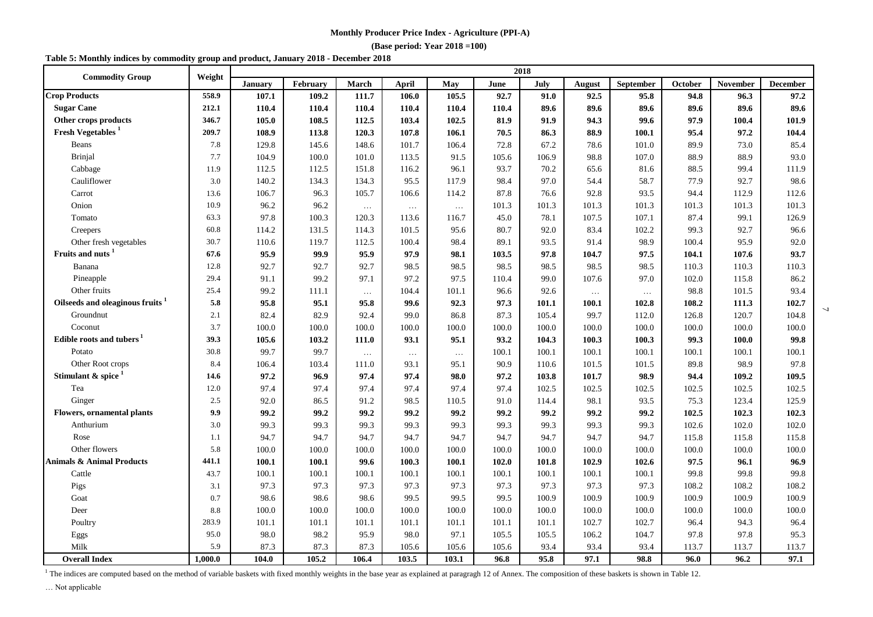#### **(Base period: Year 2018 =100)**

#### **Table 5: Monthly indices by commodity group and product, January 2018 - December 2018**

| <b>Commodity Group</b>               | Weight  | 2018           |          |              |              |          |       |       |          |                  |         |                 |                 |
|--------------------------------------|---------|----------------|----------|--------------|--------------|----------|-------|-------|----------|------------------|---------|-----------------|-----------------|
|                                      |         | <b>January</b> | February | <b>March</b> | <b>April</b> | May      | June  | July  | August   | <b>September</b> | October | <b>November</b> | <b>December</b> |
| <b>Crop Products</b>                 | 558.9   | 107.1          | 109.2    | 111.7        | 106.0        | 105.5    | 92.7  | 91.0  | 92.5     | 95.8             | 94.8    | 96.3            | 97.2            |
| <b>Sugar Cane</b>                    | 212.1   | 110.4          | 110.4    | 110.4        | 110.4        | 110.4    | 110.4 | 89.6  | 89.6     | 89.6             | 89.6    | 89.6            | 89.6            |
| Other crops products                 | 346.7   | 105.0          | 108.5    | 112.5        | 103.4        | 102.5    | 81.9  | 91.9  | 94.3     | 99.6             | 97.9    | 100.4           | 101.9           |
| Fresh Vegetables <sup>1</sup>        | 209.7   | 108.9          | 113.8    | 120.3        | 107.8        | 106.1    | 70.5  | 86.3  | 88.9     | 100.1            | 95.4    | 97.2            | 104.4           |
| Beans                                | 7.8     | 129.8          | 145.6    | 148.6        | 101.7        | 106.4    | 72.8  | 67.2  | 78.6     | 101.0            | 89.9    | 73.0            | 85.4            |
| <b>Brinjal</b>                       | 7.7     | 104.9          | 100.0    | 101.0        | 113.5        | 91.5     | 105.6 | 106.9 | 98.8     | 107.0            | 88.9    | 88.9            | 93.0            |
| Cabbage                              | 11.9    | 112.5          | 112.5    | 151.8        | 116.2        | 96.1     | 93.7  | 70.2  | 65.6     | 81.6             | 88.5    | 99.4            | 111.9           |
| Cauliflower                          | 3.0     | 140.2          | 134.3    | 134.3        | 95.5         | 117.9    | 98.4  | 97.0  | 54.4     | 58.7             | 77.9    | 92.7            | 98.6            |
| Carrot                               | 13.6    | 106.7          | 96.3     | 105.7        | 106.6        | 114.2    | 87.8  | 76.6  | 92.8     | 93.5             | 94.4    | 112.9           | 112.6           |
| Onion                                | 10.9    | 96.2           | 96.2     | $\ldots$     | $\ldots$     | $\ldots$ | 101.3 | 101.3 | 101.3    | 101.3            | 101.3   | 101.3           | 101.3           |
| Tomato                               | 63.3    | 97.8           | 100.3    | 120.3        | 113.6        | 116.7    | 45.0  | 78.1  | 107.5    | 107.1            | 87.4    | 99.1            | 126.9           |
| Creepers                             | 60.8    | 114.2          | 131.5    | 114.3        | 101.5        | 95.6     | 80.7  | 92.0  | 83.4     | 102.2            | 99.3    | 92.7            | 96.6            |
| Other fresh vegetables               | 30.7    | 110.6          | 119.7    | 112.5        | 100.4        | 98.4     | 89.1  | 93.5  | 91.4     | 98.9             | 100.4   | 95.9            | 92.0            |
| Fruits and nuts <sup>1</sup>         | 67.6    | 95.9           | 99.9     | 95.9         | 97.9         | 98.1     | 103.5 | 97.8  | 104.7    | 97.5             | 104.1   | 107.6           | 93.7            |
| Banana                               | 12.8    | 92.7           | 92.7     | 92.7         | 98.5         | 98.5     | 98.5  | 98.5  | 98.5     | 98.5             | 110.3   | 110.3           | 110.3           |
| Pineapple                            | 29.4    | 91.1           | 99.2     | 97.1         | 97.2         | 97.5     | 110.4 | 99.0  | 107.6    | 97.0             | 102.0   | 115.8           | 86.2            |
| Other fruits                         | 25.4    | 99.2           | 111.1    | $\ldots$     | 104.4        | 101.1    | 96.6  | 92.6  | $\ldots$ | $\ldots$         | 98.8    | 101.5           | 93.4            |
| Oilseeds and oleaginous fruits       | 5.8     | 95.8           | 95.1     | 95.8         | 99.6         | 92.3     | 97.3  | 101.1 | 100.1    | 102.8            | 108.2   | 111.3           | 102.7           |
| Groundnut                            | 2.1     | 82.4           | 82.9     | 92.4         | 99.0         | 86.8     | 87.3  | 105.4 | 99.7     | 112.0            | 126.8   | 120.7           | 104.8           |
| Coconut                              | 3.7     | 100.0          | 100.0    | 100.0        | 100.0        | 100.0    | 100.0 | 100.0 | 100.0    | 100.0            | 100.0   | 100.0           | 100.0           |
| Edible roots and tubers <sup>1</sup> | 39.3    | 105.6          | 103.2    | 111.0        | 93.1         | 95.1     | 93.2  | 104.3 | 100.3    | 100.3            | 99.3    | 100.0           | 99.8            |
| Potato                               | 30.8    | 99.7           | 99.7     | $\ldots$     | $\ldots$     | $\dots$  | 100.1 | 100.1 | 100.1    | 100.1            | 100.1   | 100.1           | 100.1           |
| Other Root crops                     | 8.4     | 106.4          | 103.4    | 111.0        | 93.1         | 95.1     | 90.9  | 110.6 | 101.5    | 101.5            | 89.8    | 98.9            | 97.8            |
| Stimulant & spice                    | 14.6    | 97.2           | 96.9     | 97.4         | 97.4         | 98.0     | 97.2  | 103.8 | 101.7    | 98.9             | 94.4    | 109.2           | 109.5           |
| Tea                                  | 12.0    | 97.4           | 97.4     | 97.4         | 97.4         | 97.4     | 97.4  | 102.5 | 102.5    | 102.5            | 102.5   | 102.5           | 102.5           |
| Ginger                               | 2.5     | 92.0           | 86.5     | 91.2         | 98.5         | 110.5    | 91.0  | 114.4 | 98.1     | 93.5             | 75.3    | 123.4           | 125.9           |
| <b>Flowers, ornamental plants</b>    | 9.9     | 99.2           | 99.2     | 99.2         | 99.2         | 99.2     | 99.2  | 99.2  | 99.2     | 99.2             | 102.5   | 102.3           | 102.3           |
| Anthurium                            | 3.0     | 99.3           | 99.3     | 99.3         | 99.3         | 99.3     | 99.3  | 99.3  | 99.3     | 99.3             | 102.6   | 102.0           | 102.0           |
| Rose                                 | 1.1     | 94.7           | 94.7     | 94.7         | 94.7         | 94.7     | 94.7  | 94.7  | 94.7     | 94.7             | 115.8   | 115.8           | 115.8           |
| Other flowers                        | 5.8     | 100.0          | 100.0    | 100.0        | 100.0        | 100.0    | 100.0 | 100.0 | 100.0    | 100.0            | 100.0   | 100.0           | 100.0           |
| <b>Animals &amp; Animal Products</b> | 441.1   | 100.1          | 100.1    | 99.6         | 100.3        | 100.1    | 102.0 | 101.8 | 102.9    | 102.6            | 97.5    | 96.1            | 96.9            |
| Cattle                               | 43.7    | 100.1          | 100.1    | 100.1        | 100.1        | 100.1    | 100.1 | 100.1 | 100.1    | 100.1            | 99.8    | 99.8            | 99.8            |
| Pigs                                 | 3.1     | 97.3           | 97.3     | 97.3         | 97.3         | 97.3     | 97.3  | 97.3  | 97.3     | 97.3             | 108.2   | 108.2           | 108.2           |
| Goat                                 | 0.7     | 98.6           | 98.6     | 98.6         | 99.5         | 99.5     | 99.5  | 100.9 | 100.9    | 100.9            | 100.9   | 100.9           | 100.9           |
| Deer                                 | 8.8     | 100.0          | 100.0    | 100.0        | 100.0        | 100.0    | 100.0 | 100.0 | 100.0    | 100.0            | 100.0   | 100.0           | 100.0           |
| Poultry                              | 283.9   | 101.1          | 101.1    | 101.1        | 101.1        | 101.1    | 101.1 | 101.1 | 102.7    | 102.7            | 96.4    | 94.3            | 96.4            |
| Eggs                                 | 95.0    | 98.0           | 98.2     | 95.9         | 98.0         | 97.1     | 105.5 | 105.5 | 106.2    | 104.7            | 97.8    | 97.8            | 95.3            |
| Milk                                 | 5.9     | 87.3           | 87.3     | 87.3         | 105.6        | 105.6    | 105.6 | 93.4  | 93.4     | 93.4             | 113.7   | 113.7           | 113.7           |
| <b>Overall Index</b>                 | 1.000.0 | 104.0          | 105.2    | 106.4        | 103.5        | 103.1    | 96.8  | 95.8  | 97.1     | 98.8             | 96.0    | 96.2            | 97.1            |

 $\overline{2}$ 

<sup>1</sup> The indices are computed based on the method of variable baskets with fixed monthly weights in the base year as explained at paragragh 12 of Annex. The composition of these baskets is shown in Table 12.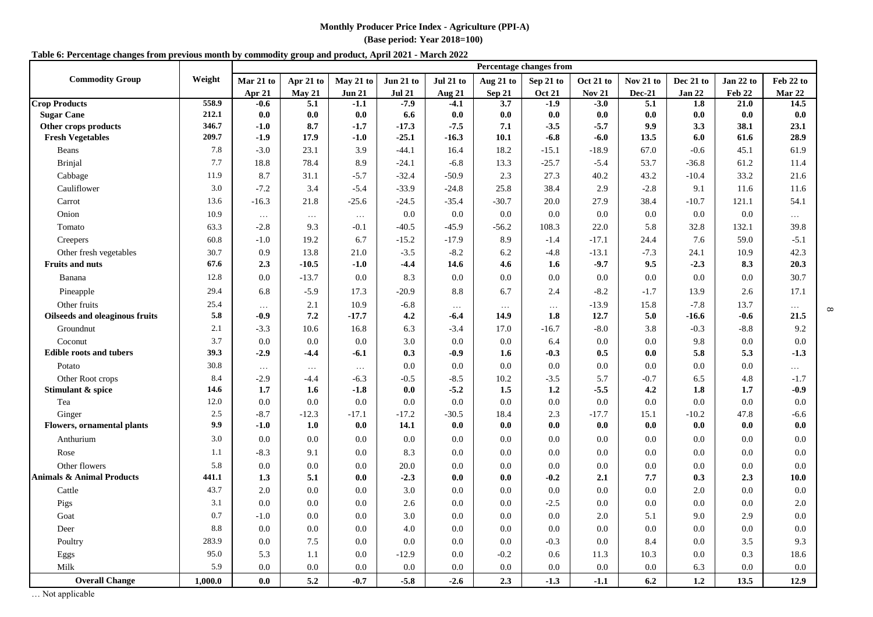**(Base period: Year 2018=100)**

#### **Table 6: Percentage changes from previous month by commodity group and product, April 2021 - March 2022**

|                                      |         | <b>Percentage changes from</b> |           |               |               |                            |               |               |               |               |           |           |           |
|--------------------------------------|---------|--------------------------------|-----------|---------------|---------------|----------------------------|---------------|---------------|---------------|---------------|-----------|-----------|-----------|
| <b>Commodity Group</b>               | Weight  | Mar 21 to                      | Apr 21 to | May 21 to     | Jun 21 to     | Jul 21 to                  | Aug 21 to     | Sep 21 to     | Oct 21 to     | Nov 21 to     | Dec 21 to | Jan 22 to | Feb 22 to |
|                                      |         | Apr 21                         | May 21    | <b>Jun 21</b> | <b>Jul 21</b> | $\overline{\text{Aug 21}}$ | <b>Sep 21</b> | <b>Oct 21</b> | <b>Nov 21</b> | <b>Dec-21</b> | Jan 22    | Feb 22    | Mar 22    |
| <b>Crop Products</b>                 | 558.9   | -0.6                           | 5.1       | $-1.1$        | $-7.9$        | $-4.1$                     | 3.7           | $-1.9$        | $-3.0$        | 5.1           | 1.8       | 21.0      | 14.5      |
| <b>Sugar Cane</b>                    | 212.1   | 0.0                            | 0.0       | 0.0           | 6.6           | 0.0                        | 0.0           | 0.0           | 0.0           | 0.0           | 0.0       | 0.0       | 0.0       |
| Other crops products                 | 346.7   | $-1.0$                         | 8.7       | $-1.7$        | $-17.3$       | $-7.5$                     | 7.1           | $-3.5$        | $-5.7$        | 9.9           | 3.3       | 38.1      | 23.1      |
| <b>Fresh Vegetables</b>              | 209.7   | $-1.9$                         | 17.9      | $-1.0$        | $-25.1$       | $-16.3$                    | 10.1          | $-6.8$        | $-6.0$        | 13.5          | 6.0       | 61.6      | 28.9      |
| Beans                                | 7.8     | $-3.0$                         | 23.1      | 3.9           | $-44.1$       | 16.4                       | 18.2          | $-15.1$       | $-18.9$       | 67.0          | $-0.6$    | 45.1      | 61.9      |
| <b>Brinjal</b>                       | 7.7     | 18.8                           | 78.4      | 8.9           | $-24.1$       | $-6.8$                     | 13.3          | $-25.7$       | $-5.4$        | 53.7          | $-36.8$   | 61.2      | 11.4      |
| Cabbage                              | 11.9    | 8.7                            | 31.1      | $-5.7$        | $-32.4$       | $-50.9$                    | 2.3           | 27.3          | 40.2          | 43.2          | $-10.4$   | 33.2      | 21.6      |
| Cauliflower                          | 3.0     | $-7.2$                         | 3.4       | $-5.4$        | $-33.9$       | $-24.8$                    | 25.8          | 38.4          | 2.9           | $-2.8$        | 9.1       | 11.6      | 11.6      |
| Carrot                               | 13.6    | $-16.3$                        | 21.8      | $-25.6$       | $-24.5$       | $-35.4$                    | $-30.7$       | 20.0          | 27.9          | 38.4          | $-10.7$   | 121.1     | 54.1      |
| Onion                                | 10.9    | $\ddots$                       | $\cdots$  | $\ldots$      | 0.0           | 0.0                        | 0.0           | 0.0           | 0.0           | 0.0           | 0.0       | 0.0       | $\cdots$  |
| Tomato                               | 63.3    | $-2.8$                         | 9.3       | $-0.1$        | $-40.5$       | $-45.9$                    | $-56.2$       | 108.3         | 22.0          | 5.8           | 32.8      | 132.1     | 39.8      |
| Creepers                             | 60.8    | $-1.0$                         | 19.2      | 6.7           | $-15.2$       | $-17.9$                    | 8.9           | $-1.4$        | $-17.1$       | 24.4          | 7.6       | 59.0      | $-5.1$    |
| Other fresh vegetables               | 30.7    | 0.9                            | 13.8      | 21.0          | $-3.5$        | $-8.2$                     | 6.2           | $-4.8$        | $-13.1$       | $-7.3$        | 24.1      | 10.9      | 42.3      |
| <b>Fruits and nuts</b>               | 67.6    | 2.3                            | $-10.5$   | $-1.0$        | $-4.4$        | 14.6                       | 4.6           | 1.6           | $-9.7$        | 9.5           | $-2.3$    | 8.3       | 20.3      |
| Banana                               | 12.8    | 0.0                            | $-13.7$   | 0.0           | 8.3           | 0.0                        | 0.0           | 0.0           | 0.0           | 0.0           | 0.0       | 0.0       | 30.7      |
| Pineapple                            | 29.4    | 6.8                            | $-5.9$    | 17.3          | $-20.9$       | 8.8                        | 6.7           | 2.4           | $-8.2$        | $-1.7$        | 13.9      | 2.6       | 17.1      |
| Other fruits                         | 25.4    | $\ldots$                       | 2.1       | 10.9          | $-6.8$        | $\ldots$                   | $\ldots$      | $\ldots$      | $-13.9$       | 15.8          | $-7.8$    | 13.7      | $\ldots$  |
| Oilseeds and oleaginous fruits       | 5.8     | $-0.9$                         | 7.2       | $-17.7$       | 4.2           | $-6.4$                     | 14.9          | 1.8           | 12.7          | 5.0           | $-16.6$   | $-0.6$    | 21.5      |
| Groundnut                            | 2.1     | $-3.3$                         | 10.6      | 16.8          | 6.3           | $-3.4$                     | 17.0          | $-16.7$       | $-8.0$        | 3.8           | $-0.3$    | $-8.8$    | 9.2       |
| Coconut                              | 3.7     | 0.0                            | 0.0       | 0.0           | 3.0           | 0.0                        | 0.0           | 6.4           | 0.0           | 0.0           | 9.8       | 0.0       | 0.0       |
| <b>Edible roots and tubers</b>       | 39.3    | $-2.9$                         | -4.4      | -6.1          | 0.3           | $-0.9$                     | 1.6           | $-0.3$        | 0.5           | 0.0           | 5.8       | 5.3       | $-1.3$    |
| Potato                               | 30.8    | $\cdots$                       | $\cdots$  | $\ldots$      | 0.0           | 0.0                        | 0.0           | 0.0           | $0.0\,$       | 0.0           | 0.0       | 0.0       | $\cdots$  |
| Other Root crops                     | 8.4     | $-2.9$                         | -4.4      | $-6.3$        | $-0.5$        | $-8.5$                     | 10.2          | $-3.5$        | 5.7           | $-0.7$        | 6.5       | 4.8       | $-1.7$    |
| Stimulant & spice                    | 14.6    | 1.7                            | 1.6       | $-1.8$        | 0.0           | $-5.2$                     | 1.5           | 1.2           | $-5.5$        | 4.2           | 1.8       | 1.7       | $-0.9$    |
| Tea                                  | 12.0    | 0.0                            | 0.0       | 0.0           | 0.0           | 0.0                        | 0.0           | 0.0           | 0.0           | 0.0           | 0.0       | 0.0       | 0.0       |
| Ginger                               | 2.5     | $-8.7$                         | $-12.3$   | $-17.1$       | $-17.2$       | $-30.5$                    | 18.4          | 2.3           | $-17.7$       | 15.1          | $-10.2$   | 47.8      | $-6.6$    |
| <b>Flowers, ornamental plants</b>    | 9.9     | $-1.0$                         | 1.0       | 0.0           | 14.1          | 0.0                        | 0.0           | 0.0           | 0.0           | 0.0           | 0.0       | 0.0       | 0.0       |
| Anthurium                            | 3.0     | 0.0                            | 0.0       | 0.0           | 0.0           | 0.0                        | 0.0           | 0.0           | 0.0           | 0.0           | 0.0       | 0.0       | $0.0\,$   |
| Rose                                 | 1.1     | $-8.3$                         | 9.1       | 0.0           | 8.3           | 0.0                        | 0.0           | 0.0           | $0.0\,$       | 0.0           | 0.0       | 0.0       | 0.0       |
| Other flowers                        | 5.8     | 0.0                            | 0.0       | 0.0           | 20.0          | 0.0                        | 0.0           | 0.0           | 0.0           | 0.0           | 0.0       | 0.0       | 0.0       |
| <b>Animals &amp; Animal Products</b> | 441.1   | 1.3                            | 5.1       | 0.0           | $-2.3$        | 0.0                        | 0.0           | $-0.2$        | 2.1           | 7.7           | 0.3       | 2.3       | 10.0      |
| Cattle                               | 43.7    | 2.0                            | 0.0       | 0.0           | 3.0           | 0.0                        | 0.0           | 0.0           | 0.0           | 0.0           | 2.0       | 0.0       | 0.0       |
| Pigs                                 | 3.1     | 0.0                            | 0.0       | 0.0           | 2.6           | 0.0                        | 0.0           | $-2.5$        | 0.0           | 0.0           | 0.0       | 0.0       | 2.0       |
| Goat                                 | 0.7     | $-1.0$                         | 0.0       | 0.0           | 3.0           | 0.0                        | 0.0           | 0.0           | 2.0           | 5.1           | 9.0       | 2.9       | 0.0       |
| Deer                                 | 8.8     | 0.0                            | 0.0       | 0.0           | 4.0           | 0.0                        | 0.0           | 0.0           | 0.0           | 0.0           | 0.0       | 0.0       | 0.0       |
| Poultry                              | 283.9   | 0.0                            | 7.5       | 0.0           | 0.0           | 0.0                        | 0.0           | $-0.3$        | 0.0           | 8.4           | 0.0       | 3.5       | 9.3       |
| Eggs                                 | 95.0    | 5.3                            | 1.1       | 0.0           | $-12.9$       | 0.0                        | $-0.2$        | 0.6           | 11.3          | 10.3          | 0.0       | 0.3       | 18.6      |
| Milk                                 | 5.9     | 0.0                            | 0.0       | 0.0           | $0.0\,$       | 0.0                        | 0.0           | 0.0           | 0.0           | 0.0           | 6.3       | 0.0       | 0.0       |
| <b>Overall Change</b>                | 1,000.0 | 0.0                            | 5.2       | $-0.7$        | $-5.8$        | $-2.6$                     | 2.3           | $-1.3$        | $-1.1$        | 6.2           | 1.2       | 13.5      | 12.9      |

… Not applicable

 $\infty$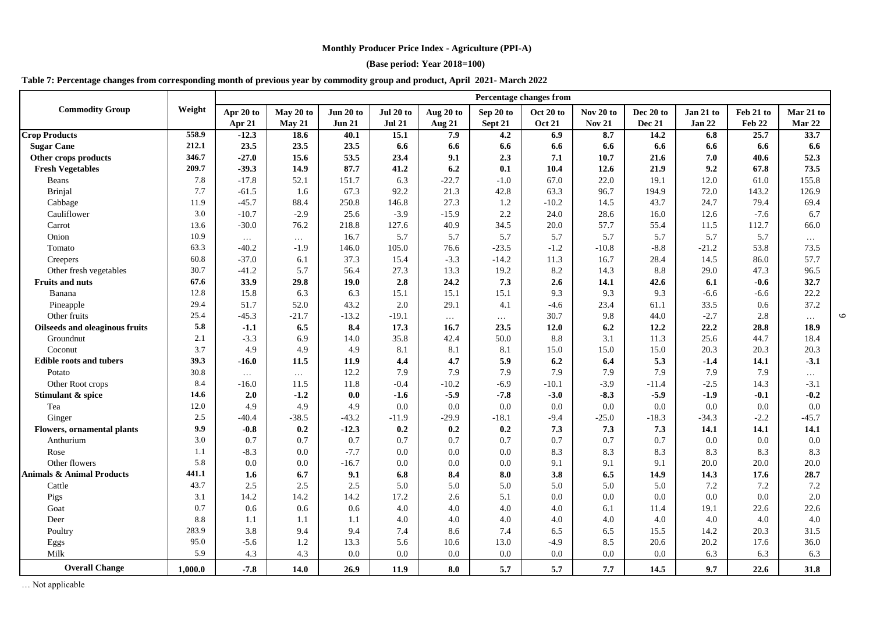**(Base period: Year 2018=100)**

## **Table 7: Percentage changes from corresponding month of previous year by commodity group and product, April 2021- March 2022**

|                                      |         | <b>Percentage changes from</b> |           |               |               |           |           |               |               |           |           |           |           |
|--------------------------------------|---------|--------------------------------|-----------|---------------|---------------|-----------|-----------|---------------|---------------|-----------|-----------|-----------|-----------|
| <b>Commodity Group</b>               | Weight  | Apr 20 to                      | May 20 to | Jun 20 to     | Jul 20 to     | Aug 20 to | Sep 20 to | Oct 20 to     | Nov 20 to     | Dec 20 to | Jan 21 to | Feb 21 to | Mar 21 to |
|                                      |         | Apr 21                         | May 21    | <b>Jun 21</b> | <b>Jul 21</b> | Aug 21    | Sept 21   | <b>Oct 21</b> | <b>Nov 21</b> | Dec 21    | Jan 22    | Feb 22    | Mar 22    |
| <b>Crop Products</b>                 | 558.9   | $-12.3$                        | 18.6      | 40.1          | 15.1          | 7.9       | 4.2       | 6.9           | 8.7           | 14.2      | 6.8       | 25.7      | 33.7      |
| <b>Sugar Cane</b>                    | 212.1   | 23.5                           | 23.5      | 23.5          | 6.6           | 6.6       | 6.6       | 6.6           | 6.6           | 6.6       | 6.6       | 6.6       | 6.6       |
| Other crops products                 | 346.7   | $-27.0$                        | 15.6      | 53.5          | 23.4          | 9.1       | 2.3       | 7.1           | 10.7          | 21.6      | 7.0       | 40.6      | 52.3      |
| <b>Fresh Vegetables</b>              | 209.7   | $-39.3$                        | 14.9      | 87.7          | 41.2          | 6.2       | 0.1       | 10.4          | 12.6          | 21.9      | 9.2       | 67.8      | 73.5      |
| <b>Beans</b>                         | 7.8     | $-17.8$                        | 52.1      | 151.7         | 6.3           | $-22.7$   | $-1.0$    | 67.0          | 22.0          | 19.1      | 12.0      | 61.0      | 155.8     |
| Brinjal                              | 7.7     | $-61.5$                        | 1.6       | 67.3          | 92.2          | 21.3      | 42.8      | 63.3          | 96.7          | 194.9     | 72.0      | 143.2     | 126.9     |
| Cabbage                              | 11.9    | $-45.7$                        | 88.4      | 250.8         | 146.8         | 27.3      | 1.2       | $-10.2$       | 14.5          | 43.7      | 24.7      | 79.4      | 69.4      |
| Cauliflower                          | 3.0     | $-10.7$                        | $-2.9$    | 25.6          | $-3.9$        | $-15.9$   | 2.2       | 24.0          | 28.6          | 16.0      | 12.6      | $-7.6$    | 6.7       |
| Carrot                               | 13.6    | $-30.0$                        | 76.2      | 218.8         | 127.6         | 40.9      | 34.5      | 20.0          | 57.7          | 55.4      | 11.5      | 112.7     | 66.0      |
| Onion                                | 10.9    | $\cdots$                       | $\cdots$  | 16.7          | 5.7           | 5.7       | 5.7       | 5.7           | 5.7           | 5.7       | 5.7       | 5.7       | $\cdots$  |
| Tomato                               | 63.3    | $-40.2$                        | $-1.9$    | 146.0         | 105.0         | 76.6      | $-23.5$   | $-1.2$        | $-10.8$       | $-8.8$    | $-21.2$   | 53.8      | 73.5      |
| Creepers                             | 60.8    | $-37.0$                        | 6.1       | 37.3          | 15.4          | $-3.3$    | $-14.2$   | 11.3          | 16.7          | 28.4      | 14.5      | 86.0      | 57.7      |
| Other fresh vegetables               | 30.7    | $-41.2$                        | 5.7       | 56.4          | 27.3          | 13.3      | 19.2      | 8.2           | 14.3          | 8.8       | 29.0      | 47.3      | 96.5      |
| <b>Fruits and nuts</b>               | 67.6    | 33.9                           | 29.8      | 19.0          | 2.8           | 24.2      | 7.3       | 2.6           | 14.1          | 42.6      | 6.1       | $-0.6$    | 32.7      |
| Banana                               | 12.8    | 15.8                           | 6.3       | 6.3           | 15.1          | 15.1      | 15.1      | 9.3           | 9.3           | 9.3       | $-6.6$    | $-6.6$    | 22.2      |
| Pineapple                            | 29.4    | 51.7                           | 52.0      | 43.2          | 2.0           | 29.1      | 4.1       | -4.6          | 23.4          | 61.1      | 33.5      | 0.6       | 37.2      |
| Other fruits                         | 25.4    | $-45.3$                        | $-21.7$   | $-13.2$       | $-19.1$       | $\ldots$  | $\cdots$  | 30.7          | 9.8           | 44.0      | $-2.7$    | 2.8       | $\cdots$  |
| Oilseeds and oleaginous fruits       | 5.8     | $-1.1$                         | 6.5       | 8.4           | 17.3          | 16.7      | 23.5      | 12.0          | 6.2           | 12.2      | 22.2      | 28.8      | 18.9      |
| Groundnut                            | 2.1     | $-3.3$                         | 6.9       | 14.0          | 35.8          | 42.4      | 50.0      | 8.8           | 3.1           | 11.3      | 25.6      | 44.7      | 18.4      |
| Coconut                              | 3.7     | 4.9                            | 4.9       | 4.9           | 8.1           | 8.1       | 8.1       | 15.0          | 15.0          | 15.0      | 20.3      | 20.3      | 20.3      |
| <b>Edible roots and tubers</b>       | 39.3    | $-16.0$                        | 11.5      | 11.9          | 4.4           | 4.7       | 5.9       | 6.2           | 6.4           | 5.3       | $-1.4$    | 14.1      | $-3.1$    |
| Potato                               | 30.8    | $\cdots$                       | $\cdots$  | 12.2          | 7.9           | 7.9       | 7.9       | 7.9           | 7.9           | 7.9       | 7.9       | 7.9       | $\cdots$  |
| Other Root crops                     | 8.4     | $-16.0$                        | 11.5      | 11.8          | $-0.4$        | $-10.2$   | -6.9      | $-10.1$       | $-3.9$        | $-11.4$   | $-2.5$    | 14.3      | $-3.1$    |
| Stimulant & spice                    | 14.6    | 2.0                            | $-1.2$    | 0.0           | $-1.6$        | $-5.9$    | $-7.8$    | $-3.0$        | $-8.3$        | $-5.9$    | $-1.9$    | $-0.1$    | $-0.2$    |
| Tea                                  | 12.0    | 4.9                            | 4.9       | 4.9           | 0.0           | 0.0       | 0.0       | 0.0           | 0.0           | 0.0       | 0.0       | 0.0       | 0.0       |
| Ginger                               | 2.5     | $-40.4$                        | $-38.5$   | $-43.2$       | $-11.9$       | $-29.9$   | $-18.1$   | $-9.4$        | $-25.0$       | $-18.3$   | $-34.3$   | $-2.2$    | $-45.7$   |
| <b>Flowers, ornamental plants</b>    | 9.9     | $-0.8$                         | 0.2       | $-12.3$       | 0.2           | 0.2       | 0.2       | 7.3           | 7.3           | 7.3       | 14.1      | 14.1      | 14.1      |
| Anthurium                            | 3.0     | 0.7                            | 0.7       | 0.7           | 0.7           | 0.7       | 0.7       | 0.7           | 0.7           | 0.7       | 0.0       | 0.0       | 0.0       |
| Rose                                 | 1.1     | $-8.3$                         | 0.0       | $-7.7$        | 0.0           | 0.0       | 0.0       | 8.3           | 8.3           | 8.3       | 8.3       | 8.3       | 8.3       |
| Other flowers                        | 5.8     | 0.0                            | 0.0       | $-16.7$       | 0.0           | 0.0       | 0.0       | 9.1           | 9.1           | 9.1       | 20.0      | 20.0      | 20.0      |
| <b>Animals &amp; Animal Products</b> | 441.1   | 1.6                            | 6.7       | 9.1           | 6.8           | 8.4       | 8.0       | 3.8           | 6.5           | 14.9      | 14.3      | 17.6      | 28.7      |
| Cattle                               | 43.7    | 2.5                            | 2.5       | 2.5           | 5.0           | 5.0       | 5.0       | 5.0           | 5.0           | 5.0       | 7.2       | 7.2       | 7.2       |
| Pigs                                 | 3.1     | 14.2                           | 14.2      | 14.2          | 17.2          | 2.6       | 5.1       | 0.0           | 0.0           | 0.0       | 0.0       | 0.0       | 2.0       |
| Goat                                 | 0.7     | 0.6                            | 0.6       | 0.6           | 4.0           | 4.0       | 4.0       | 4.0           | 6.1           | 11.4      | 19.1      | 22.6      | 22.6      |
| Deer                                 | 8.8     | 1.1                            | 1.1       | 1.1           | 4.0           | 4.0       | 4.0       | 4.0           | 4.0           | 4.0       | 4.0       | 4.0       | 4.0       |
| Poultry                              | 283.9   | 3.8                            | 9.4       | 9.4           | 7.4           | 8.6       | 7.4       | 6.5           | 6.5           | 15.5      | 14.2      | 20.3      | 31.5      |
| Eggs                                 | 95.0    | $-5.6$                         | 1.2       | 13.3          | 5.6           | 10.6      | 13.0      | $-4.9$        | 8.5           | 20.6      | 20.2      | 17.6      | 36.0      |
| Milk                                 | 5.9     | 4.3                            | 4.3       | 0.0           | 0.0           | 0.0       | 0.0       | 0.0           | 0.0           | 0.0       | 6.3       | 6.3       | 6.3       |
| <b>Overall Change</b>                | 1,000.0 | $-7.8$                         | 14.0      | 26.9          | 11.9          | 8.0       | 5.7       | 5.7           | 7.7           | 14.5      | 9.7       | 22.6      | 31.8      |

 $\circ$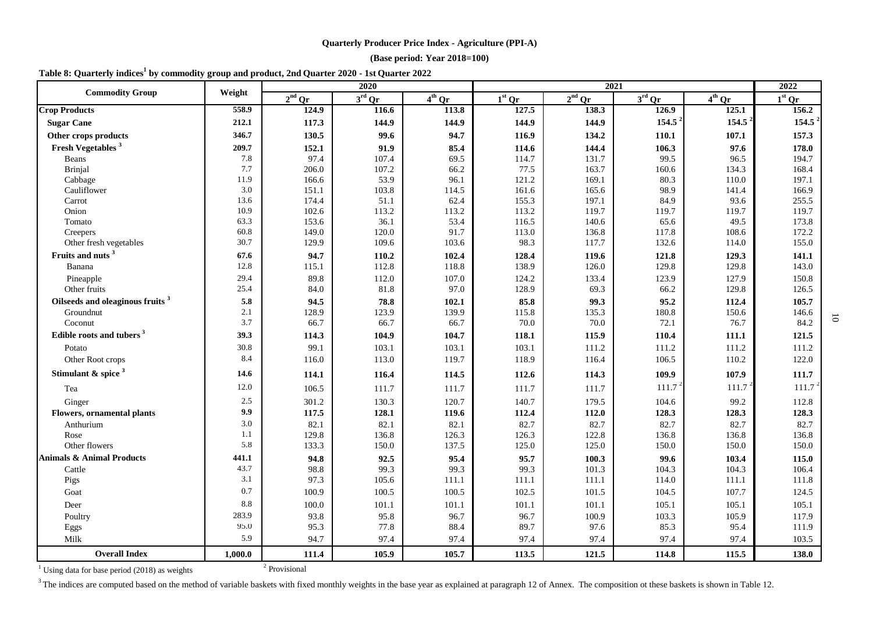## **(Base period: Year 2018=100)**

|  |  | Table 8: Quarterly indices <sup>1</sup> by commodity group and product, 2nd Quarter 2020 - 1st Quarter 2022 |  |
|--|--|-------------------------------------------------------------------------------------------------------------|--|
|--|--|-------------------------------------------------------------------------------------------------------------|--|

|                                              |              |                          | 2020               |                |                |                | 2022               |                |                |
|----------------------------------------------|--------------|--------------------------|--------------------|----------------|----------------|----------------|--------------------|----------------|----------------|
| <b>Commodity Group</b>                       | Weight       | $2nd$ Qr                 | $3^{\text{rd}}$ Or | $4th$ Qr       | $1st$ Qr       | $2nd$ Qr       | $3^{\rm rd}$ Qr    | $4th$ Qr       | $1st$ Qr       |
| <b>Crop Products</b>                         | 558.9        | 124.9                    | 116.6              | 113.8          | 127.5          | 138.3          | 126.9              | 125.1          | 156.2          |
| <b>Sugar Cane</b>                            | 212.1        | 117.3                    | 144.9              | 144.9          | 144.9          | 144.9          | 154.5 <sup>2</sup> | 154.5          | 154.5          |
| Other crops products                         | 346.7        | 130.5                    | 99.6               | 94.7           | 116.9          | 134.2          | 110.1              | 107.1          | 157.3          |
| Fresh Vegetables <sup>3</sup>                | 209.7        | 152.1                    | 91.9               | 85.4           | 114.6          | 144.4          | 106.3              | 97.6           | 178.0          |
| Beans                                        | 7.8          | 97.4                     | 107.4              | 69.5           | 114.7          | 131.7          | 99.5               | 96.5           | 194.7          |
| Brinjal                                      | 7.7          | 206.0                    | 107.2              | 66.2           | 77.5           | 163.7          | 160.6              | 134.3          | 168.4          |
| Cabbage                                      | 11.9         | 166.6                    | 53.9               | 96.1           | 121.2          | 169.1          | 80.3               | 110.0          | 197.1          |
| Cauliflower                                  | 3.0          | 151.1                    | 103.8              | 114.5          | 161.6          | 165.6          | 98.9               | 141.4          | 166.9          |
| Carrot                                       | 13.6         | 174.4                    | 51.1               | 62.4           | 155.3          | 197.1          | 84.9               | 93.6           | 255.5          |
| Onion                                        | 10.9         | 102.6                    | 113.2              | 113.2          | 113.2          | 119.7          | 119.7              | 119.7          | 119.7          |
| Tomato                                       | 63.3         | 153.6                    | 36.1               | 53.4           | 116.5          | 140.6          | 65.6               | 49.5           | 173.8          |
| Creepers<br>Other fresh vegetables           | 60.8<br>30.7 | 149.0<br>129.9           | 120.0<br>109.6     | 91.7<br>103.6  | 113.0<br>98.3  | 136.8<br>117.7 | 117.8<br>132.6     | 108.6<br>114.0 | 172.2<br>155.0 |
|                                              |              |                          |                    |                |                |                |                    |                |                |
| Fruits and nuts <sup>3</sup>                 | 67.6<br>12.8 | 94.7                     | 110.2              | 102.4<br>118.8 | 128.4<br>138.9 | 119.6          | 121.8<br>129.8     | 129.3          | 141.1<br>143.0 |
| Banana                                       |              | 115.1                    | 112.8              |                |                | 126.0          |                    | 129.8          |                |
| Pineapple<br>Other fruits                    | 29.4         | 89.8                     | 112.0              | 107.0<br>97.0  | 124.2          | 133.4          | 123.9<br>66.2      | 127.9          | 150.8          |
|                                              | 25.4         | 84.0                     | 81.8               |                | 128.9          | 69.3           |                    | 129.8          | 126.5          |
| Oilseeds and oleaginous fruits <sup>3</sup>  | 5.8          | 94.5                     | 78.8               | 102.1          | 85.8           | 99.3           | 95.2               | 112.4          | 105.7          |
| Groundnut<br>Coconut                         | 2.1<br>3.7   | 128.9<br>66.7            | 123.9<br>66.7      | 139.9<br>66.7  | 115.8<br>70.0  | 135.3<br>70.0  | 180.8<br>72.1      | 150.6<br>76.7  | 146.6<br>84.2  |
|                                              |              |                          |                    |                |                |                |                    |                |                |
| Edible roots and tubers <sup>3</sup>         | 39.3         | 114.3                    | 104.9              | 104.7          | 118.1          | 115.9          | 110.4              | 111.1          | 121.5          |
| Potato                                       | 30.8         | 99.1                     | 103.1              | 103.1          | 103.1          | 111.2          | 111.2              | 111.2          | 111.2          |
| Other Root crops                             | 8.4          | 116.0                    | 113.0              | 119.7          | 118.9          | 116.4          | 106.5              | 110.2          | 122.0          |
| Stimulant & spice $3$                        | 14.6         | 114.1                    | 116.4              | 114.5          | 112.6          | 114.3          | 109.9              | 107.9          | 111.7          |
| Tea                                          | 12.0         | 106.5                    | 111.7              | 111.7          | 111.7          | 111.7          | 111.7 <sup>2</sup> | 111.7          | 111.7          |
| Ginger                                       | 2.5          | 301.2                    | 130.3              | 120.7          | 140.7          | 179.5          | 104.6              | 99.2           | 112.8          |
| <b>Flowers, ornamental plants</b>            | 9.9          | 117.5                    | 128.1              | 119.6          | 112.4          | 112.0          | 128.3              | 128.3          | 128.3          |
| Anthurium                                    | 3.0          | 82.1                     | 82.1               | 82.1           | 82.7           | 82.7           | 82.7               | 82.7           | 82.7           |
| Rose                                         | 1.1          | 129.8                    | 136.8              | 126.3          | 126.3          | 122.8          | 136.8              | 136.8          | 136.8          |
| Other flowers                                | 5.8          | 133.3                    | 150.0              | 137.5          | 125.0          | 125.0          | 150.0              | 150.0          | 150.0          |
| <b>Animals &amp; Animal Products</b>         | 441.1        | 94.8                     | 92.5               | 95.4           | 95.7           | 100.3          | 99.6               | 103.4          | 115.0          |
| Cattle                                       | 43.7         | 98.8                     | 99.3               | 99.3           | 99.3           | 101.3          | 104.3              | 104.3          | 106.4          |
| Pigs                                         | 3.1          | 97.3                     | 105.6              | 111.1          | 111.1          | 111.1          | 114.0              | 111.1          | 111.8          |
| Goat                                         | 0.7          | 100.9                    | 100.5              | 100.5          | 102.5          | 101.5          | 104.5              | 107.7          | 124.5          |
| Deer                                         | 8.8          | 100.0                    | 101.1              | 101.1          | 101.1          | 101.1          | 105.1              | 105.1          | 105.1          |
| Poultry                                      | 283.9        | 93.8                     | 95.8               | 96.7           | 96.7           | 100.9          | 103.3              | 105.9          | 117.9          |
| Eggs                                         | 95.0         | 95.3                     | 77.8               | 88.4           | 89.7           | 97.6           | 85.3               | 95.4           | 111.9          |
| Milk                                         | 5.9          | 94.7                     | 97.4               | 97.4           | 97.4           | 97.4           | 97.4               | 97.4           | 103.5          |
| <b>Overall Index</b>                         | 1,000.0      | 111.4                    | 105.9              | 105.7          | 113.5          | 121.5          | 114.8              | 115.5          | 138.0          |
| Hsing data for hase period (2018) as weights |              | <sup>2</sup> Provisional |                    |                |                |                |                    |                |                |

10

<sup>1</sup> Using data for base period (2018) as weights <sup>2</sup>

<sup>3</sup>The indices are computed based on the method of variable baskets with fixed monthly weights in the base year as explained at paragraph 12 of Annex. The composition ot these baskets is shown in Table 12.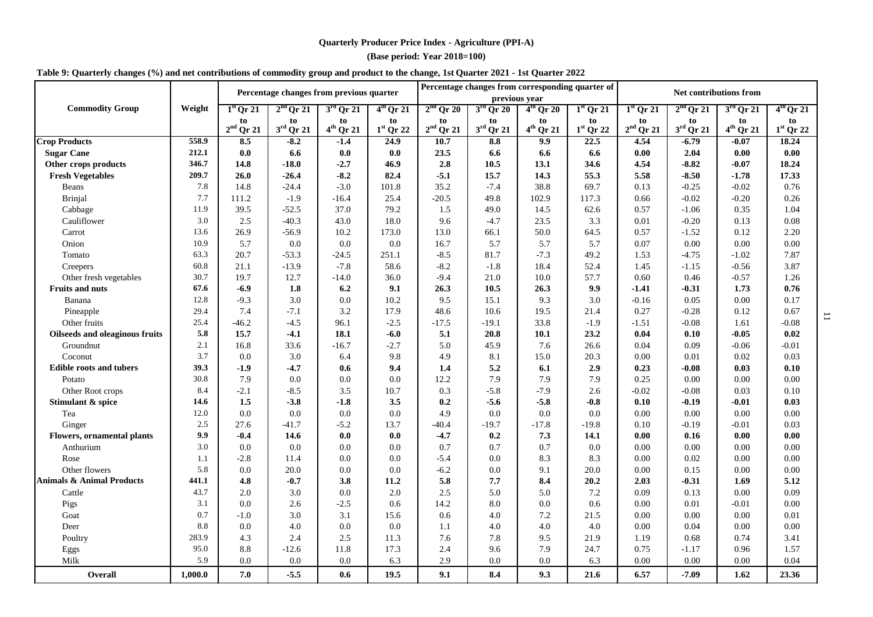**(Base period: Year 2018=100)**

| Table 9: Quarterly changes (%) and net contributions of commodity group and product to the change, 1st Quarter 2021 - 1st Quarter 2022 |  |  |
|----------------------------------------------------------------------------------------------------------------------------------------|--|--|
|----------------------------------------------------------------------------------------------------------------------------------------|--|--|

|                                      |         |                          | Percentage changes from previous quarter |                      |                   |                   |                             | Percentage changes from corresponding quarter of<br>previous year |                   | <b>Net contributions from</b> |                          |                      |                          |
|--------------------------------------|---------|--------------------------|------------------------------------------|----------------------|-------------------|-------------------|-----------------------------|-------------------------------------------------------------------|-------------------|-------------------------------|--------------------------|----------------------|--------------------------|
| <b>Commodity Group</b>               | Weight  | $1st$ Or 21              | $2nd$ Qr 21                              | $3rd$ Qr 21          | $4th$ Qr 21       | $2nd$ Qr 20       | $3rd$ Qr 20                 | $4th$ Qr 20                                                       | $1st$ Qr 21       | $1st$ Qr 21                   | $2nd$ Qr 21              | $3rd$ Qr 21          | $4th$ Qr 21              |
|                                      |         | to<br>$2^{\rm nd}$ Qr 21 | to<br>$3^{\text{rd}}$ Qr 21              | to<br>$4^{th}$ Qr 21 | to<br>$1st$ Qr 22 | to<br>$2nd$ Qr 21 | to<br>$3^{\text{rd}}$ Qr 21 | to<br>$4^{th}$ Qr 21                                              | to<br>$1st$ Qr 22 | to<br>$2nd$ Qr 21             | to<br>$3^{\rm rd}$ Qr 21 | to<br>$4^{th}$ Qr 21 | to<br>$1^{\rm st}$ Qr 22 |
| <b>Crop Products</b>                 | 558.9   | 8.5                      | $-8.2$                                   | $-1.4$               | 24.9              | 10.7              | 8.8                         | 9.9                                                               | 22.5              | 4.54                          | $-6.79$                  | $-0.07$              | 18.24                    |
| <b>Sugar Cane</b>                    | 212.1   | $0.0\,$                  | 6.6                                      | $0.0\,$              | $0.0\,$           | 23.5              | 6.6                         | 6.6                                                               | 6.6               | 0.00                          | 2.04                     | 0.00                 | $\boldsymbol{0.00}$      |
| Other crops products                 | 346.7   | 14.8                     | $-18.0$                                  | $-2.7$               | 46.9              | 2.8               | 10.5                        | 13.1                                                              | 34.6              | 4.54                          | $-8.82$                  | $-0.07$              | 18.24                    |
| <b>Fresh Vegetables</b>              | 209.7   | 26.0                     | $-26.4$                                  | $-8.2$               | 82.4              | $-5.1$            | 15.7                        | 14.3                                                              | 55.3              | 5.58                          | $-8.50$                  | $-1.78$              | 17.33                    |
| Beans                                | 7.8     | 14.8                     | $-24.4$                                  | $-3.0$               | 101.8             | 35.2              | $-7.4$                      | 38.8                                                              | 69.7              | 0.13                          | $-0.25$                  | $-0.02$              | 0.76                     |
| Brinjal                              | 7.7     | 111.2                    | $-1.9$                                   | $-16.4$              | 25.4              | $-20.5$           | 49.8                        | 102.9                                                             | 117.3             | 0.66                          | $-0.02$                  | $-0.20$              | 0.26                     |
| Cabbage                              | 11.9    | 39.5                     | $-52.5$                                  | 37.0                 | 79.2              | 1.5               | 49.0                        | 14.5                                                              | 62.6              | 0.57                          | $-1.06$                  | 0.35                 | 1.04                     |
| Cauliflower                          | 3.0     | 2.5                      | $-40.3$                                  | 43.0                 | 18.0              | 9.6               | $-4.7$                      | 23.5                                                              | 3.3               | 0.01                          | $-0.20$                  | 0.13                 | $0.08\,$                 |
| Carrot                               | 13.6    | 26.9                     | $-56.9$                                  | 10.2                 | 173.0             | 13.0              | 66.1                        | 50.0                                                              | 64.5              | 0.57                          | $-1.52$                  | 0.12                 | 2.20                     |
| Onion                                | 10.9    | 5.7                      | 0.0                                      | 0.0                  | 0.0               | 16.7              | 5.7                         | 5.7                                                               | 5.7               | 0.07                          | 0.00                     | 0.00                 | 0.00                     |
| Tomato                               | 63.3    | 20.7                     | $-53.3$                                  | $-24.5$              | 251.1             | $-8.5$            | 81.7                        | $-7.3$                                                            | 49.2              | 1.53                          | $-4.75$                  | $-1.02$              | 7.87                     |
| Creepers                             | 60.8    | 21.1                     | $-13.9$                                  | $-7.8$               | 58.6              | $-8.2$            | $-1.8$                      | 18.4                                                              | 52.4              | 1.45                          | $-1.15$                  | $-0.56$              | 3.87                     |
| Other fresh vegetables               | 30.7    | 19.7                     | 12.7                                     | $-14.0$              | 36.0              | $-9.4$            | 21.0                        | 10.0                                                              | 57.7              | 0.60                          | 0.46                     | $-0.57$              | 1.26                     |
| <b>Fruits and nuts</b>               | 67.6    | $-6.9$                   | 1.8                                      | 6.2                  | 9.1               | 26.3              | 10.5                        | 26.3                                                              | 9.9               | $-1.41$                       | $-0.31$                  | 1.73                 | 0.76                     |
| Banana                               | 12.8    | $-9.3$                   | 3.0                                      | 0.0                  | 10.2              | 9.5               | 15.1                        | 9.3                                                               | 3.0               | $-0.16$                       | 0.05                     | 0.00                 | 0.17                     |
| Pineapple                            | 29.4    | 7.4                      | $-7.1$                                   | 3.2                  | 17.9              | 48.6              | 10.6                        | 19.5                                                              | 21.4              | 0.27                          | $-0.28$                  | 0.12                 | 0.67                     |
| Other fruits                         | 25.4    | $-46.2$                  | $-4.5$                                   | 96.1                 | $-2.5$            | $-17.5$           | $-19.1$                     | 33.8                                                              | $-1.9$            | $-1.51$                       | $-0.08$                  | 1.61                 | $-0.08$                  |
| Oilseeds and oleaginous fruits       | 5.8     | 15.7                     | $-4.1$                                   | 18.1                 | $-6.0$            | 5.1               | 20.8                        | $10.1$                                                            | 23.2              | 0.04                          | 0.10                     | $-0.05$              | $\bf{0.02}$              |
| Groundnut                            | 2.1     | 16.8                     | 33.6                                     | $-16.7$              | $-2.7$            | 5.0               | 45.9                        | 7.6                                                               | 26.6              | 0.04                          | 0.09                     | $-0.06$              | $-0.01$                  |
| Coconut                              | 3.7     | 0.0                      | 3.0                                      | 6.4                  | 9.8               | 4.9               | 8.1                         | 15.0                                                              | 20.3              | 0.00                          | 0.01                     | 0.02                 | 0.03                     |
| <b>Edible roots and tubers</b>       | 39.3    | $-1.9$                   | $-4.7$                                   | 0.6                  | 9.4               | 1.4               | 5.2                         | 6.1                                                               | 2.9               | 0.23                          | $-0.08$                  | 0.03                 | 0.10                     |
| Potato                               | 30.8    | 7.9                      | 0.0                                      | 0.0                  | 0.0               | 12.2              | 7.9                         | 7.9                                                               | 7.9               | 0.25                          | 0.00                     | 0.00                 | 0.00                     |
| Other Root crops                     | 8.4     | $-2.1$                   | $-8.5$                                   | 3.5                  | 10.7              | 0.3               | $-5.8$                      | $-7.9$                                                            | 2.6               | $-0.02$                       | $-0.08$                  | 0.03                 | 0.10                     |
| Stimulant & spice                    | 14.6    | 1.5                      | $-3.8$                                   | $-1.8$               | 3.5               | 0.2               | $-5.6$                      | $-5.8$                                                            | $-0.8$            | 0.10                          | $-0.19$                  | $-0.01$              | 0.03                     |
| Tea                                  | 12.0    | 0.0                      | 0.0                                      | 0.0                  | 0.0               | 4.9               | 0.0                         | 0.0                                                               | 0.0               | 0.00                          | 0.00                     | 0.00                 | $0.00\,$                 |
| Ginger                               | 2.5     | 27.6                     | -41.7                                    | $-5.2$               | 13.7              | -40.4             | $-19.7$                     | $-17.8$                                                           | $-19.8$           | 0.10                          | $-0.19$                  | $-0.01$              | 0.03                     |
| <b>Flowers, ornamental plants</b>    | 9.9     | $-0.4$                   | 14.6                                     | 0.0                  | 0.0               | $-4.7$            | 0.2                         | 7.3                                                               | 14.1              | 0.00                          | 0.16                     | 0.00                 | 0.00                     |
| Anthurium                            | 3.0     | 0.0                      | 0.0                                      | 0.0                  | 0.0               | 0.7               | 0.7                         | 0.7                                                               | 0.0               | 0.00                          | 0.00                     | 0.00                 | 0.00                     |
| Rose                                 | 1.1     | $-2.8$                   | 11.4                                     | 0.0                  | 0.0               | $-5.4$            | 0.0                         | 8.3                                                               | 8.3               | 0.00                          | 0.02                     | 0.00                 | 0.00                     |
| Other flowers                        | 5.8     | 0.0                      | 20.0                                     | 0.0                  | 0.0               | $-6.2$            | 0.0                         | 9.1                                                               | 20.0              | 0.00                          | 0.15                     | 0.00                 | 0.00                     |
| <b>Animals &amp; Animal Products</b> | 441.1   | 4.8                      | $-0.7$                                   | 3.8                  | 11.2              | 5.8               | 7.7                         | 8.4                                                               | 20.2              | 2.03                          | $-0.31$                  | 1.69                 | 5.12                     |
| Cattle                               | 43.7    | 2.0                      | 3.0                                      | 0.0                  | $2.0\,$           | 2.5               | 5.0                         | 5.0                                                               | 7.2               | 0.09                          | 0.13                     | 0.00                 | 0.09                     |
| Pigs                                 | 3.1     | 0.0                      | 2.6                                      | $-2.5$               | 0.6               | 14.2              | 8.0                         | 0.0                                                               | 0.6               | 0.00                          | 0.01                     | $-0.01$              | 0.00                     |
| Goat                                 | 0.7     | $-1.0$                   | 3.0                                      | 3.1                  | 15.6              | 0.6               | 4.0                         | 7.2                                                               | 21.5              | 0.00                          | 0.00                     | 0.00                 | 0.01                     |
| Deer                                 | 8.8     | 0.0                      | 4.0                                      | 0.0                  | 0.0               | 1.1               | 4.0                         | 4.0                                                               | 4.0               | 0.00                          | 0.04                     | 0.00                 | 0.00                     |
| Poultry                              | 283.9   | 4.3                      | 2.4                                      | 2.5                  | 11.3              | 7.6               | 7.8                         | 9.5                                                               | 21.9              | 1.19                          | 0.68                     | 0.74                 | 3.41                     |
| Eggs                                 | 95.0    | 8.8                      | $-12.6$                                  | 11.8                 | 17.3              | 2.4               | 9.6                         | 7.9                                                               | 24.7              | 0.75                          | $-1.17$                  | 0.96                 | 1.57                     |
| Milk                                 | 5.9     | 0.0                      | 0.0                                      | $0.0\,$              | 6.3               | 2.9               | 0.0                         | 0.0                                                               | 6.3               | 0.00                          | 0.00                     | 0.00                 | 0.04                     |
| <b>Overall</b>                       | 1,000.0 | 7.0                      | $-5.5$                                   | 0.6                  | 19.5              | 9.1               | 8.4                         | 9.3                                                               | 21.6              | 6.57                          | $-7.09$                  | 1.62                 | 23.36                    |

 $\overline{\phantom{0}}$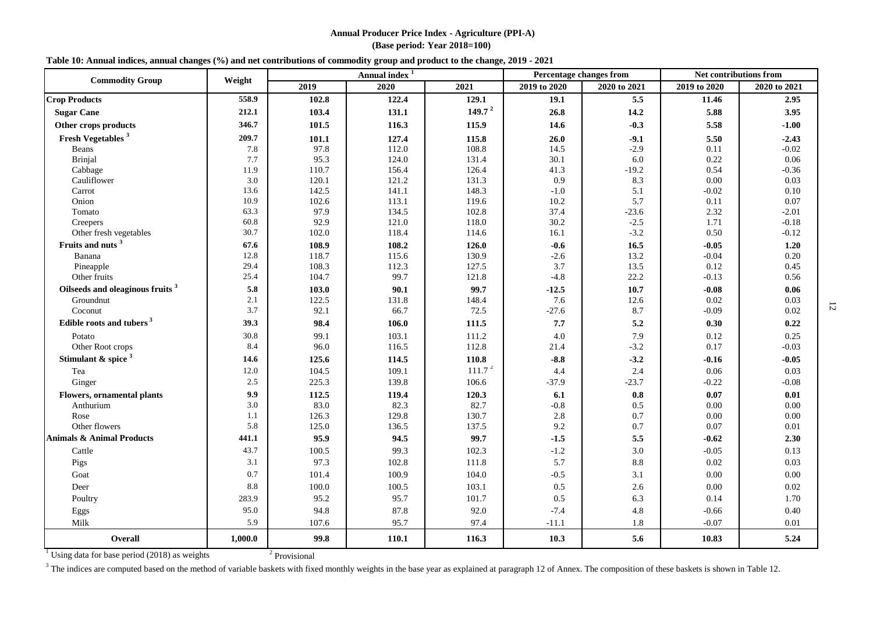#### **Annual Producer Price Index - Agriculture (PPI-A) (Base period: Year 2018=100)**

#### **Table 10: Annual indices, annual changes (%) and net contributions of commodity group and product to the change, 2019 - 2021**

| <b>Commodity Group</b>                         | Weight  |                          | Annual index <sup>1</sup> |                    | <b>Percentage changes from</b> |              | Net contributions from |              |  |
|------------------------------------------------|---------|--------------------------|---------------------------|--------------------|--------------------------------|--------------|------------------------|--------------|--|
|                                                |         | 2019                     | 2020                      | 2021               | 2019 to 2020                   | 2020 to 2021 | 2019 to 2020           | 2020 to 2021 |  |
| <b>Crop Products</b>                           | 558.9   | 102.8                    | 122.4                     | 129.1              | 19.1                           | 5.5          | 11.46                  | 2.95         |  |
| <b>Sugar Cane</b>                              | 212.1   | 103.4                    | 131.1                     | 149.7 <sup>2</sup> | 26.8                           | 14.2         | 5.88                   | 3.95         |  |
| Other crops products                           | 346.7   | 101.5                    | 116.3                     | 115.9              | 14.6                           | $-0.3$       | 5.58                   | $-1.00$      |  |
| Fresh Vegetables <sup>3</sup>                  | 209.7   | 101.1                    | 127.4                     | 115.8              | 26.0                           | $-9.1$       | 5.50                   | $-2.43$      |  |
| Beans                                          | 7.8     | 97.8                     | 112.0                     | 108.8              | 14.5                           | $-2.9$       | 0.11                   | $-0.02$      |  |
| Brinjal                                        | 7.7     | 95.3                     | 124.0                     | 131.4              | 30.1                           | 6.0          | 0.22                   | 0.06         |  |
| Cabbage                                        | 11.9    | 110.7                    | 156.4                     | 126.4              | 41.3                           | $-19.2$      | 0.54                   | $-0.36$      |  |
| Cauliflower                                    | 3.0     | 120.1                    | 121.2                     | 131.3              | 0.9                            | 8.3          | 0.00                   | 0.03         |  |
| Carrot                                         | 13.6    | 142.5                    | 141.1                     | 148.3              | $-1.0$                         | 5.1          | $-0.02$                | 0.10         |  |
| Onion                                          | 10.9    | 102.6                    | 113.1                     | 119.6              | 10.2                           | 5.7          | 0.11                   | 0.07         |  |
| Tomato                                         | 63.3    | 97.9                     | 134.5                     | 102.8              | 37.4                           | $-23.6$      | 2.32                   | $-2.01$      |  |
| Creepers                                       | 60.8    | 92.9                     | 121.0                     | 118.0              | 30.2                           | $-2.5$       | 1.71                   | $-0.18$      |  |
| Other fresh vegetables                         | 30.7    | 102.0                    | 118.4                     | 114.6              | 16.1                           | $-3.2$       | 0.50                   | $-0.12$      |  |
| Fruits and nuts <sup>3</sup>                   | 67.6    | 108.9                    | 108.2                     | 126.0              | $-0.6$                         | 16.5         | $-0.05$                | 1.20         |  |
| Banana                                         | 12.8    | 118.7                    | 115.6                     | 130.9              | $-2.6$                         | 13.2         | $-0.04$                | 0.20         |  |
| Pineapple                                      | 29.4    | 108.3                    | 112.3                     | 127.5              | 3.7                            | 13.5         | 0.12                   | 0.45         |  |
| Other fruits                                   | 25.4    | 104.7                    | 99.7                      | 121.8              | $-4.8$                         | 22.2         | $-0.13$                | 0.56         |  |
| Oilseeds and oleaginous fruits <sup>3</sup>    | 5.8     | 103.0                    | 90.1                      | 99.7               | $-12.5$                        | 10.7         | $-0.08$                | 0.06         |  |
| Groundnut                                      | 2.1     | 122.5                    | 131.8                     | 148.4              | 7.6                            | 12.6         | 0.02                   | 0.03         |  |
| Coconut                                        | 3.7     | 92.1                     | 66.7                      | 72.5               | $-27.6$                        | 8.7          | $-0.09$                | 0.02         |  |
| Edible roots and tubers <sup>3</sup>           | 39.3    | 98.4                     | 106.0                     | 111.5              | 7.7                            | 5.2          | 0.30                   | 0.22         |  |
| Potato                                         | 30.8    | 99.1                     | 103.1                     | 111.2              | 4.0                            | 7.9          | 0.12                   | 0.25         |  |
| Other Root crops                               | 8.4     | 96.0                     | 116.5                     | 112.8              | 21.4                           | $-3.2$       | 0.17                   | $-0.03$      |  |
| Stimulant & spice $3$                          | 14.6    | 125.6                    | 114.5                     | 110.8              | $-8.8$                         | $-3.2$       | $-0.16$                | $-0.05$      |  |
| Tea                                            | 12.0    | 104.5                    | 109.1                     | 111.7 <sup>2</sup> | 4.4                            | 2.4          | 0.06                   | 0.03         |  |
| Ginger                                         | 2.5     | 225.3                    | 139.8                     | 106.6              | $-37.9$                        | $-23.7$      | $-0.22$                | $-0.08$      |  |
| <b>Flowers, ornamental plants</b>              | 9.9     | 112.5                    | 119.4                     | 120.3              | 6.1                            | $0.8\,$      | 0.07                   | 0.01         |  |
| Anthurium                                      | 3.0     | 83.0                     | 82.3                      | 82.7               | $-0.8$                         | $0.5\,$      | 0.00                   | $0.00\,$     |  |
| Rose                                           | 1.1     | 126.3                    | 129.8                     | 130.7              | 2.8                            | $0.7\,$      | 0.00                   | 0.00         |  |
| Other flowers                                  | 5.8     | 125.0                    | 136.5                     | 137.5              | 9.2                            | $0.7\,$      | 0.07                   | $0.01\,$     |  |
| <b>Animals &amp; Animal Products</b>           | 441.1   | 95.9                     | 94.5                      | 99.7               | $-1.5$                         | 5.5          | $-0.62$                | 2.30         |  |
| Cattle                                         | 43.7    | 100.5                    | 99.3                      | 102.3              | $-1.2$                         | 3.0          | $-0.05$                | 0.13         |  |
| Pigs                                           | 3.1     | 97.3                     | 102.8                     | 111.8              | 5.7                            | $8.8\,$      | 0.02                   | 0.03         |  |
| Goat                                           | $0.7\,$ | 101.4                    | 100.9                     | 104.0              | $-0.5$                         | 3.1          | 0.00                   | $0.00\,$     |  |
| Deer                                           | 8.8     | 100.0                    | 100.5                     | 103.1              | 0.5                            | 2.6          | 0.00                   | 0.02         |  |
| Poultry                                        | 283.9   | 95.2                     | 95.7                      | 101.7              | 0.5                            | 6.3          | 0.14                   | 1.70         |  |
| Eggs                                           | 95.0    | 94.8                     | 87.8                      | 92.0               | $-7.4$                         | 4.8          | $-0.66$                | 0.40         |  |
| Milk                                           | 5.9     | 107.6                    | 95.7                      | 97.4               | $-11.1$                        | 1.8          | $-0.07$                | 0.01         |  |
| Overall                                        | 1,000.0 | 99.8                     | 110.1                     | 116.3              | 10.3                           | 5.6          | 10.83                  | 5.24         |  |
| Using data for base period $(2018)$ as weights |         | <sup>2</sup> Provisional |                           |                    |                                |              |                        |              |  |

 $3$  The indices are computed based on the method of variable baskets with fixed monthly weights in the base year as explained at paragraph 12 of Annex. The composition of these baskets is shown in Table 12.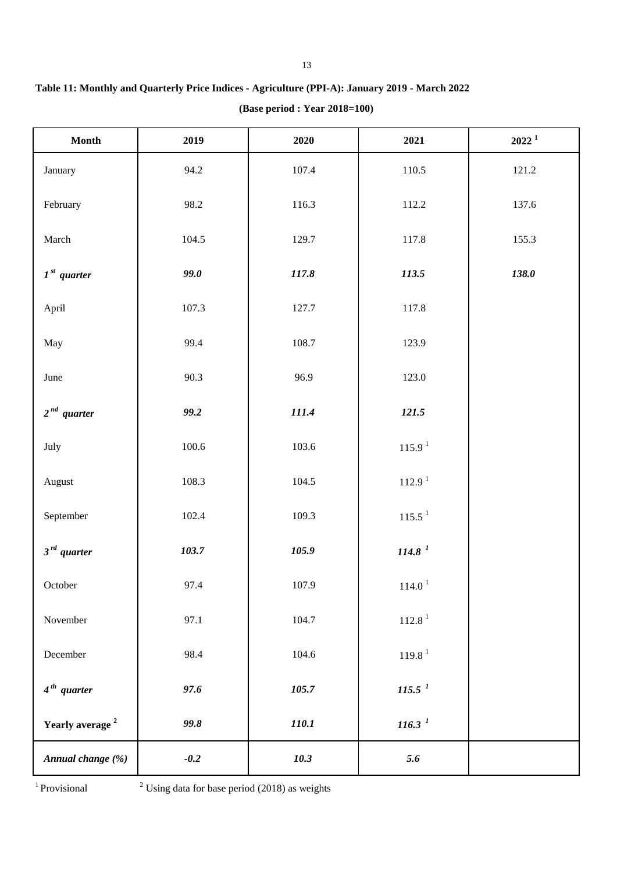| Month                       | 2019      | 2020  | 2021               | $2022^1$ |
|-----------------------------|-----------|-------|--------------------|----------|
| January                     | 94.2      | 107.4 | 110.5              | 121.2    |
| February                    | 98.2      | 116.3 | 112.2              | 137.6    |
| March                       | 104.5     | 129.7 | 117.8              | 155.3    |
| $1st$ quarter               | 99.0      | 117.8 | 113.5              | 138.0    |
| April                       | 107.3     | 127.7 | 117.8              |          |
| May                         | 99.4      | 108.7 | 123.9              |          |
| June                        | 90.3      | 96.9  | 123.0              |          |
| $2nd$ quarter               | 99.2      | 111.4 | 121.5              |          |
| July                        | $100.6\,$ | 103.6 | 115.9 <sup>1</sup> |          |
| August                      | 108.3     | 104.5 | 112.9 <sup>1</sup> |          |
| September                   | 102.4     | 109.3 | 115.5 <sup>1</sup> |          |
| $3^{rd}$ quarter            | 103.7     | 105.9 | 114.8 <sup>1</sup> |          |
| October                     | 97.4      | 107.9 | 114.0 <sup>1</sup> |          |
| November                    | 97.1      | 104.7 | 112.8 <sup>1</sup> |          |
| December                    | 98.4      | 104.6 | 119.8 <sup>1</sup> |          |
| $4th$ quarter               | 97.6      | 105.7 | 115.5 <sup>1</sup> |          |
| Yearly average <sup>2</sup> | 99.8      | 110.1 | 116.3 <sup>1</sup> |          |
| Annual change (%)           | $-0.2$    | 10.3  | 5.6                |          |

**(Base period : Year 2018=100) Table 11: Monthly and Quarterly Price Indices - Agriculture (PPI-A): January 2019 - March 2022** 

<sup>1</sup> Provisional

 $2$  Using data for base period (2018) as weights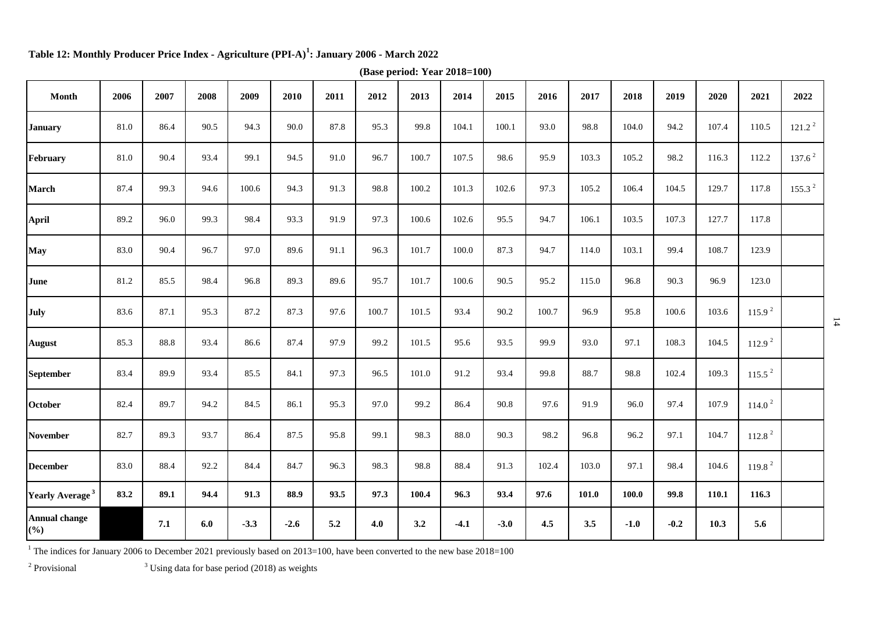| Month                                   | 2006 | 2007 | 2008 | 2009   | 2010   | 2011 | 2012  | 2013  | 2014   | 2015   | 2016  | 2017  | 2018   | 2019   | 2020  | 2021               | 2022               |
|-----------------------------------------|------|------|------|--------|--------|------|-------|-------|--------|--------|-------|-------|--------|--------|-------|--------------------|--------------------|
| <b>January</b>                          | 81.0 | 86.4 | 90.5 | 94.3   | 90.0   | 87.8 | 95.3  | 99.8  | 104.1  | 100.1  | 93.0  | 98.8  | 104.0  | 94.2   | 107.4 | 110.5              | 121.2 <sup>2</sup> |
| February                                | 81.0 | 90.4 | 93.4 | 99.1   | 94.5   | 91.0 | 96.7  | 100.7 | 107.5  | 98.6   | 95.9  | 103.3 | 105.2  | 98.2   | 116.3 | 112.2              | 137.6 <sup>2</sup> |
| <b>March</b>                            | 87.4 | 99.3 | 94.6 | 100.6  | 94.3   | 91.3 | 98.8  | 100.2 | 101.3  | 102.6  | 97.3  | 105.2 | 106.4  | 104.5  | 129.7 | 117.8              | 155.3 <sup>2</sup> |
| <b>April</b>                            | 89.2 | 96.0 | 99.3 | 98.4   | 93.3   | 91.9 | 97.3  | 100.6 | 102.6  | 95.5   | 94.7  | 106.1 | 103.5  | 107.3  | 127.7 | 117.8              |                    |
| <b>May</b>                              | 83.0 | 90.4 | 96.7 | 97.0   | 89.6   | 91.1 | 96.3  | 101.7 | 100.0  | 87.3   | 94.7  | 114.0 | 103.1  | 99.4   | 108.7 | 123.9              |                    |
| June                                    | 81.2 | 85.5 | 98.4 | 96.8   | 89.3   | 89.6 | 95.7  | 101.7 | 100.6  | 90.5   | 95.2  | 115.0 | 96.8   | 90.3   | 96.9  | 123.0              |                    |
| July                                    | 83.6 | 87.1 | 95.3 | 87.2   | 87.3   | 97.6 | 100.7 | 101.5 | 93.4   | 90.2   | 100.7 | 96.9  | 95.8   | 100.6  | 103.6 | 115.9 <sup>2</sup> |                    |
| <b>August</b>                           | 85.3 | 88.8 | 93.4 | 86.6   | 87.4   | 97.9 | 99.2  | 101.5 | 95.6   | 93.5   | 99.9  | 93.0  | 97.1   | 108.3  | 104.5 | 112.9 <sup>2</sup> |                    |
| <b>September</b>                        | 83.4 | 89.9 | 93.4 | 85.5   | 84.1   | 97.3 | 96.5  | 101.0 | 91.2   | 93.4   | 99.8  | 88.7  | 98.8   | 102.4  | 109.3 | 115.5 <sup>2</sup> |                    |
| <b>October</b>                          | 82.4 | 89.7 | 94.2 | 84.5   | 86.1   | 95.3 | 97.0  | 99.2  | 86.4   | 90.8   | 97.6  | 91.9  | 96.0   | 97.4   | 107.9 | 114.0 <sup>2</sup> |                    |
| <b>November</b>                         | 82.7 | 89.3 | 93.7 | 86.4   | 87.5   | 95.8 | 99.1  | 98.3  | 88.0   | 90.3   | 98.2  | 96.8  | 96.2   | 97.1   | 104.7 | 112.8 <sup>2</sup> |                    |
| <b>December</b>                         | 83.0 | 88.4 | 92.2 | 84.4   | 84.7   | 96.3 | 98.3  | 98.8  | 88.4   | 91.3   | 102.4 | 103.0 | 97.1   | 98.4   | 104.6 | 119.8 <sup>2</sup> |                    |
| Yearly Average <sup>3</sup>             | 83.2 | 89.1 | 94.4 | 91.3   | 88.9   | 93.5 | 97.3  | 100.4 | 96.3   | 93.4   | 97.6  | 101.0 | 100.0  | 99.8   | 110.1 | 116.3              |                    |
| <b>Annual change</b><br>$(\frac{6}{6})$ |      | 7.1  | 6.0  | $-3.3$ | $-2.6$ | 5.2  | 4.0   | 3.2   | $-4.1$ | $-3.0$ | 4.5   | 3.5   | $-1.0$ | $-0.2$ | 10.3  | 5.6                |                    |

**Table 12: Monthly Producer Price Index - Agriculture (PPI-A)<sup>1</sup> : January 2006 - March 2022**

**(Base period: Year 2018=100)**

<sup>1</sup> The indices for January 2006 to December 2021 previously based on 2013=100, have been converted to the new base 2018=100

<sup>2</sup> Provisional <sup>3</sup>

 $3$  Using data for base period (2018) as weights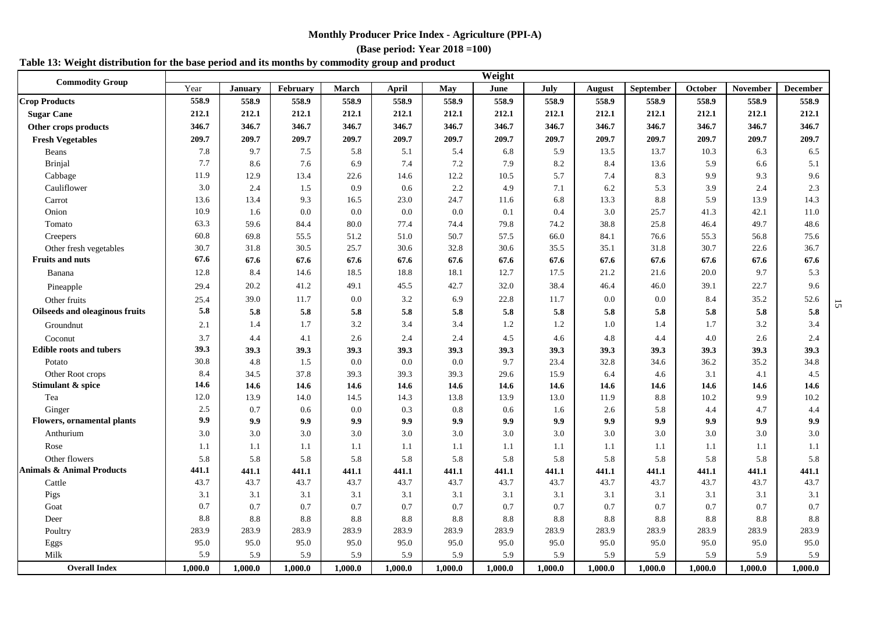#### **(Base period: Year 2018 =100)**

# **Table 13: Weight distribution for the base period and its months by commodity group and product**

| <b>Commodity Group</b>               | Weight  |                |          |         |         |         |         |         |         |           |         |          |                 |
|--------------------------------------|---------|----------------|----------|---------|---------|---------|---------|---------|---------|-----------|---------|----------|-----------------|
|                                      | Year    | <b>January</b> | February | March   | April   | May     | June    | July    | August  | September | October | November | <b>December</b> |
| <b>Crop Products</b>                 | 558.9   | 558.9          | 558.9    | 558.9   | 558.9   | 558.9   | 558.9   | 558.9   | 558.9   | 558.9     | 558.9   | 558.9    | 558.9           |
| <b>Sugar Cane</b>                    | 212.1   | 212.1          | 212.1    | 212.1   | 212.1   | 212.1   | 212.1   | 212.1   | 212.1   | 212.1     | 212.1   | 212.1    | 212.1           |
| Other crops products                 | 346.7   | 346.7          | 346.7    | 346.7   | 346.7   | 346.7   | 346.7   | 346.7   | 346.7   | 346.7     | 346.7   | 346.7    | 346.7           |
| <b>Fresh Vegetables</b>              | 209.7   | 209.7          | 209.7    | 209.7   | 209.7   | 209.7   | 209.7   | 209.7   | 209.7   | 209.7     | 209.7   | 209.7    | 209.7           |
| Beans                                | 7.8     | 9.7            | 7.5      | 5.8     | 5.1     | 5.4     | 6.8     | 5.9     | 13.5    | 13.7      | 10.3    | 6.3      | 6.5             |
| Brinjal                              | 7.7     | 8.6            | 7.6      | 6.9     | 7.4     | 7.2     | 7.9     | 8.2     | 8.4     | 13.6      | 5.9     | 6.6      | 5.1             |
| Cabbage                              | 11.9    | 12.9           | 13.4     | 22.6    | 14.6    | 12.2    | 10.5    | 5.7     | 7.4     | 8.3       | 9.9     | 9.3      | 9.6             |
| Cauliflower                          | 3.0     | 2.4            | 1.5      | 0.9     | 0.6     | 2.2     | 4.9     | 7.1     | 6.2     | 5.3       | 3.9     | 2.4      | 2.3             |
| Carrot                               | 13.6    | 13.4           | 9.3      | 16.5    | 23.0    | 24.7    | 11.6    | 6.8     | 13.3    | 8.8       | 5.9     | 13.9     | 14.3            |
| Onion                                | 10.9    | 1.6            | 0.0      | 0.0     | 0.0     | 0.0     | 0.1     | 0.4     | 3.0     | 25.7      | 41.3    | 42.1     | 11.0            |
| Tomato                               | 63.3    | 59.6           | 84.4     | 80.0    | 77.4    | 74.4    | 79.8    | 74.2    | 38.8    | 25.8      | 46.4    | 49.7     | 48.6            |
| Creepers                             | 60.8    | 69.8           | 55.5     | 51.2    | 51.0    | 50.7    | 57.5    | 66.0    | 84.1    | 76.6      | 55.3    | 56.8     | 75.6            |
| Other fresh vegetables               | 30.7    | 31.8           | 30.5     | 25.7    | 30.6    | 32.8    | 30.6    | 35.5    | 35.1    | 31.8      | 30.7    | 22.6     | 36.7            |
| <b>Fruits and nuts</b>               | 67.6    | 67.6           | 67.6     | 67.6    | 67.6    | 67.6    | 67.6    | 67.6    | 67.6    | 67.6      | 67.6    | 67.6     | 67.6            |
| Banana                               | 12.8    | 8.4            | 14.6     | 18.5    | 18.8    | 18.1    | 12.7    | 17.5    | 21.2    | 21.6      | 20.0    | 9.7      | 5.3             |
| Pineapple                            | 29.4    | 20.2           | 41.2     | 49.1    | 45.5    | 42.7    | 32.0    | 38.4    | 46.4    | 46.0      | 39.1    | 22.7     | 9.6             |
| Other fruits                         | 25.4    | 39.0           | 11.7     | 0.0     | 3.2     | 6.9     | 22.8    | 11.7    | 0.0     | 0.0       | 8.4     | 35.2     | 52.6            |
| Oilseeds and oleaginous fruits       | 5.8     | 5.8            | 5.8      | 5.8     | 5.8     | 5.8     | 5.8     | 5.8     | 5.8     | 5.8       | 5.8     | 5.8      | 5.8             |
| Groundnut                            | 2.1     | 1.4            | 1.7      | 3.2     | 3.4     | 3.4     | 1.2     | 1.2     | 1.0     | 1.4       | 1.7     | 3.2      | 3.4             |
| Coconut                              | 3.7     | 4.4            | 4.1      | 2.6     | 2.4     | 2.4     | 4.5     | 4.6     | 4.8     | 4.4       | 4.0     | 2.6      | 2.4             |
| <b>Edible roots and tubers</b>       | 39.3    | 39.3           | 39.3     | 39.3    | 39.3    | 39.3    | 39.3    | 39.3    | 39.3    | 39.3      | 39.3    | 39.3     | 39.3            |
| Potato                               | 30.8    | 4.8            | 1.5      | 0.0     | 0.0     | 0.0     | 9.7     | 23.4    | 32.8    | 34.6      | 36.2    | 35.2     | 34.8            |
| Other Root crops                     | 8.4     | 34.5           | 37.8     | 39.3    | 39.3    | 39.3    | 29.6    | 15.9    | 6.4     | 4.6       | 3.1     | 4.1      | 4.5             |
| Stimulant & spice                    | 14.6    | 14.6           | 14.6     | 14.6    | 14.6    | 14.6    | 14.6    | 14.6    | 14.6    | 14.6      | 14.6    | 14.6     | 14.6            |
| Tea                                  | 12.0    | 13.9           | 14.0     | 14.5    | 14.3    | 13.8    | 13.9    | 13.0    | 11.9    | 8.8       | 10.2    | 9.9      | 10.2            |
| Ginger                               | 2.5     | 0.7            | 0.6      | 0.0     | 0.3     | 0.8     | 0.6     | 1.6     | 2.6     | 5.8       | 4.4     | 4.7      | 4.4             |
| <b>Flowers, ornamental plants</b>    | 9.9     | 9.9            | 9.9      | 9.9     | 9.9     | 9.9     | 9.9     | 9.9     | 9.9     | 9.9       | 9.9     | 9.9      | 9.9             |
| Anthurium                            | 3.0     | 3.0            | 3.0      | 3.0     | 3.0     | 3.0     | 3.0     | 3.0     | 3.0     | 3.0       | 3.0     | 3.0      | 3.0             |
| Rose                                 | 1.1     | 1.1            | 1.1      | 1.1     | 1.1     | 1.1     | 1.1     | 1.1     | 1.1     | 1.1       | 1.1     | 1.1      | 1.1             |
| Other flowers                        | 5.8     | 5.8            | 5.8      | 5.8     | 5.8     | 5.8     | 5.8     | 5.8     | 5.8     | 5.8       | 5.8     | 5.8      | 5.8             |
| <b>Animals &amp; Animal Products</b> | 441.1   | 441.1          | 441.1    | 441.1   | 441.1   | 441.1   | 441.1   | 441.1   | 441.1   | 441.1     | 441.1   | 441.1    | 441.1           |
| Cattle                               | 43.7    | 43.7           | 43.7     | 43.7    | 43.7    | 43.7    | 43.7    | 43.7    | 43.7    | 43.7      | 43.7    | 43.7     | 43.7            |
| Pigs                                 | 3.1     | 3.1            | 3.1      | 3.1     | 3.1     | 3.1     | 3.1     | 3.1     | 3.1     | 3.1       | 3.1     | 3.1      | 3.1             |
| Goat                                 | 0.7     | 0.7            | 0.7      | 0.7     | 0.7     | 0.7     | 0.7     | 0.7     | 0.7     | 0.7       | 0.7     | 0.7      | 0.7             |
| Deer                                 | 8.8     | 8.8            | 8.8      | 8.8     | 8.8     | 8.8     | 8.8     | 8.8     | 8.8     | 8.8       | 8.8     | 8.8      | 8.8             |
| Poultry                              | 283.9   | 283.9          | 283.9    | 283.9   | 283.9   | 283.9   | 283.9   | 283.9   | 283.9   | 283.9     | 283.9   | 283.9    | 283.9           |
| Eggs                                 | 95.0    | 95.0           | 95.0     | 95.0    | 95.0    | 95.0    | 95.0    | 95.0    | 95.0    | 95.0      | 95.0    | 95.0     | 95.0            |
| Milk                                 | 5.9     | 5.9            | 5.9      | 5.9     | 5.9     | 5.9     | 5.9     | 5.9     | 5.9     | 5.9       | 5.9     | 5.9      | 5.9             |
| <b>Overall Index</b>                 | 1.000.0 | 1,000.0        | 1,000.0  | 1.000.0 | 1,000.0 | 1.000.0 | 1.000.0 | 1,000.0 | 1,000.0 | 1,000.0   | 1,000.0 | 1.000.0  | 1,000.0         |

15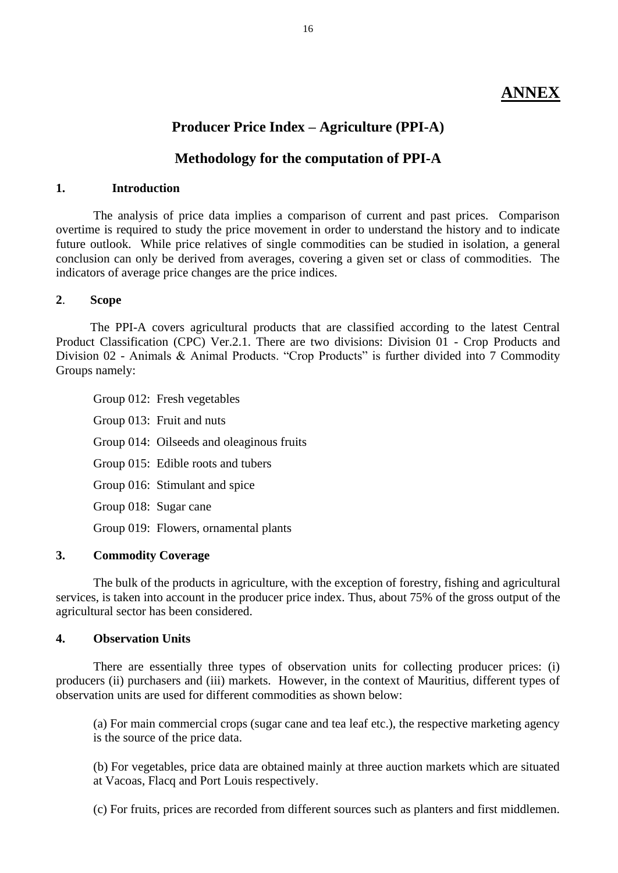# **ANNEX**

# **Producer Price Index – Agriculture (PPI-A)**

# **Methodology for the computation of PPI-A**

# **1. Introduction**

The analysis of price data implies a comparison of current and past prices. Comparison overtime is required to study the price movement in order to understand the history and to indicate future outlook. While price relatives of single commodities can be studied in isolation, a general conclusion can only be derived from averages, covering a given set or class of commodities. The indicators of average price changes are the price indices.

## **2**. **Scope**

 The PPI-A covers agricultural products that are classified according to the latest Central Product Classification (CPC) Ver.2.1. There are two divisions: Division 01 - Crop Products and Division 02 - Animals & Animal Products. "Crop Products" is further divided into 7 Commodity Groups namely:

Group 012: Fresh vegetables Group 013: Fruit and nuts Group 014: Oilseeds and oleaginous fruits Group 015: Edible roots and tubers Group 016: Stimulant and spice Group 018: Sugar cane Group 019: Flowers, ornamental plants

# **3. Commodity Coverage**

The bulk of the products in agriculture, with the exception of forestry, fishing and agricultural services, is taken into account in the producer price index. Thus, about 75% of the gross output of the agricultural sector has been considered.

## **4. Observation Units**

There are essentially three types of observation units for collecting producer prices: (i) producers (ii) purchasers and (iii) markets. However, in the context of Mauritius, different types of observation units are used for different commodities as shown below:

(a) For main commercial crops (sugar cane and tea leaf etc.), the respective marketing agency is the source of the price data.

(b) For vegetables, price data are obtained mainly at three auction markets which are situated at Vacoas, Flacq and Port Louis respectively.

(c) For fruits, prices are recorded from different sources such as planters and first middlemen.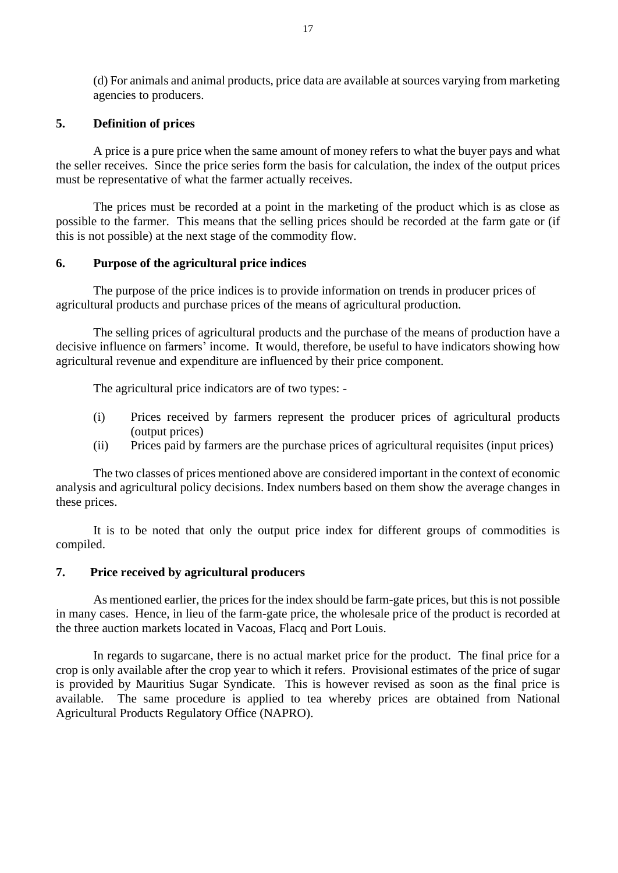(d) For animals and animal products, price data are available at sources varying from marketing agencies to producers.

## **5. Definition of prices**

A price is a pure price when the same amount of money refers to what the buyer pays and what the seller receives. Since the price series form the basis for calculation, the index of the output prices must be representative of what the farmer actually receives.

The prices must be recorded at a point in the marketing of the product which is as close as possible to the farmer. This means that the selling prices should be recorded at the farm gate or (if this is not possible) at the next stage of the commodity flow.

## **6. Purpose of the agricultural price indices**

The purpose of the price indices is to provide information on trends in producer prices of agricultural products and purchase prices of the means of agricultural production.

The selling prices of agricultural products and the purchase of the means of production have a decisive influence on farmers' income. It would, therefore, be useful to have indicators showing how agricultural revenue and expenditure are influenced by their price component.

The agricultural price indicators are of two types: -

- (i) Prices received by farmers represent the producer prices of agricultural products (output prices)
- (ii) Prices paid by farmers are the purchase prices of agricultural requisites (input prices)

The two classes of prices mentioned above are considered important in the context of economic analysis and agricultural policy decisions. Index numbers based on them show the average changes in these prices.

It is to be noted that only the output price index for different groups of commodities is compiled.

# **7. Price received by agricultural producers**

As mentioned earlier, the prices for the index should be farm-gate prices, but this is not possible in many cases. Hence, in lieu of the farm-gate price, the wholesale price of the product is recorded at the three auction markets located in Vacoas, Flacq and Port Louis.

In regards to sugarcane, there is no actual market price for the product. The final price for a crop is only available after the crop year to which it refers. Provisional estimates of the price of sugar is provided by Mauritius Sugar Syndicate. This is however revised as soon as the final price is available. The same procedure is applied to tea whereby prices are obtained from National Agricultural Products Regulatory Office (NAPRO).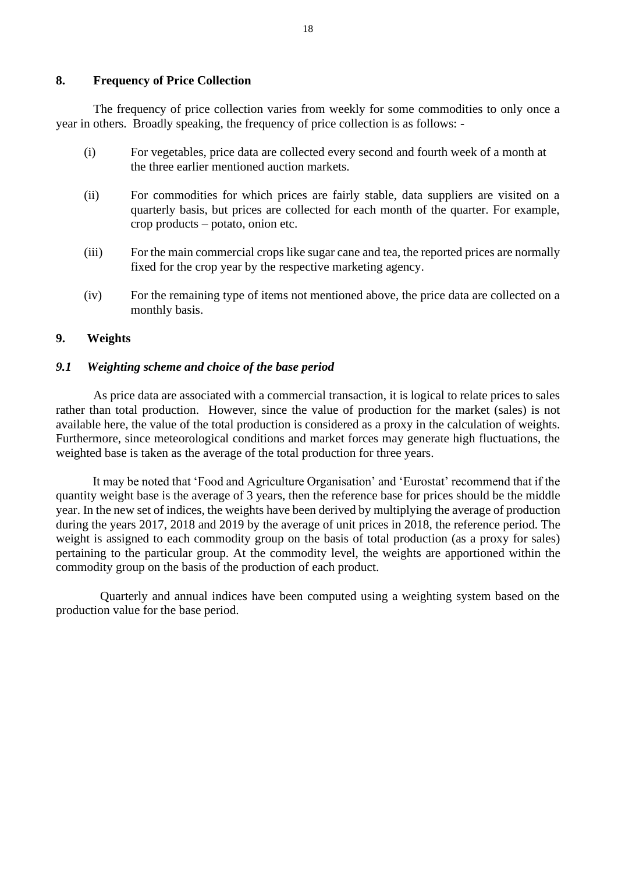## **8. Frequency of Price Collection**

The frequency of price collection varies from weekly for some commodities to only once a year in others. Broadly speaking, the frequency of price collection is as follows: -

- (i) For vegetables, price data are collected every second and fourth week of a month at the three earlier mentioned auction markets.
- (ii) For commodities for which prices are fairly stable, data suppliers are visited on a quarterly basis, but prices are collected for each month of the quarter. For example, crop products – potato, onion etc.
- (iii) For the main commercial crops like sugar cane and tea, the reported prices are normally fixed for the crop year by the respective marketing agency.
- (iv) For the remaining type of items not mentioned above, the price data are collected on a monthly basis.

# **9. Weights**

## *9.1 Weighting scheme and choice of the base period*

As price data are associated with a commercial transaction, it is logical to relate prices to sales rather than total production. However, since the value of production for the market (sales) is not available here, the value of the total production is considered as a proxy in the calculation of weights. Furthermore, since meteorological conditions and market forces may generate high fluctuations, the weighted base is taken as the average of the total production for three years.

It may be noted that 'Food and Agriculture Organisation' and 'Eurostat' recommend that if the quantity weight base is the average of 3 years, then the reference base for prices should be the middle year. In the new set of indices, the weights have been derived by multiplying the average of production during the years 2017, 2018 and 2019 by the average of unit prices in 2018, the reference period. The weight is assigned to each commodity group on the basis of total production (as a proxy for sales) pertaining to the particular group. At the commodity level, the weights are apportioned within the commodity group on the basis of the production of each product.

Quarterly and annual indices have been computed using a weighting system based on the production value for the base period.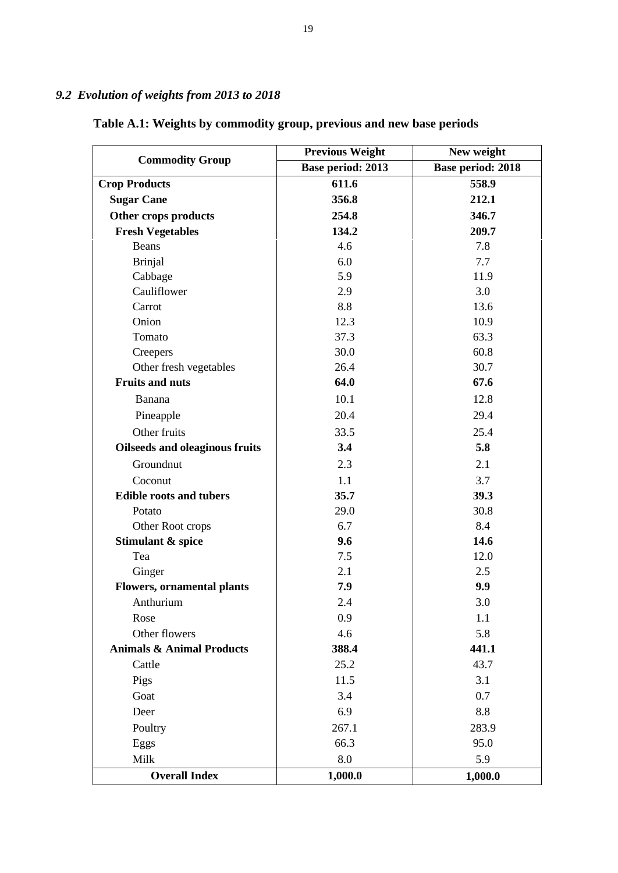# *9.2 Evolution of weights from 2013 to 2018*

|                                       | <b>Previous Weight</b> | New weight        |  |  |  |
|---------------------------------------|------------------------|-------------------|--|--|--|
| <b>Commodity Group</b>                | Base period: 2013      | Base period: 2018 |  |  |  |
| <b>Crop Products</b>                  | 611.6                  | 558.9             |  |  |  |
| <b>Sugar Cane</b>                     | 356.8                  | 212.1             |  |  |  |
| Other crops products                  | 254.8                  | 346.7             |  |  |  |
| <b>Fresh Vegetables</b>               | 134.2                  | 209.7             |  |  |  |
| Beans                                 | 4.6                    | 7.8               |  |  |  |
| <b>Brinjal</b>                        | 6.0                    | 7.7               |  |  |  |
| Cabbage                               | 5.9                    | 11.9              |  |  |  |
| Cauliflower                           | 2.9                    | 3.0               |  |  |  |
| Carrot                                | 8.8                    | 13.6              |  |  |  |
| Onion                                 | 12.3                   | 10.9              |  |  |  |
| Tomato                                | 37.3                   | 63.3              |  |  |  |
| Creepers                              | 30.0                   | 60.8              |  |  |  |
| Other fresh vegetables                | 26.4                   | 30.7              |  |  |  |
| <b>Fruits and nuts</b>                | 64.0                   | 67.6              |  |  |  |
| Banana                                | 10.1                   | 12.8              |  |  |  |
| Pineapple                             | 20.4                   | 29.4              |  |  |  |
| Other fruits                          | 33.5                   | 25.4              |  |  |  |
| <b>Oilseeds and oleaginous fruits</b> | 3.4                    | 5.8               |  |  |  |
| Groundnut                             | 2.3                    | 2.1               |  |  |  |
| Coconut                               | 1.1                    | 3.7               |  |  |  |
| <b>Edible roots and tubers</b>        | 35.7                   | 39.3              |  |  |  |
| Potato                                | 29.0                   | 30.8              |  |  |  |
| Other Root crops                      | 6.7                    | 8.4               |  |  |  |
| Stimulant & spice                     | 9.6                    | 14.6              |  |  |  |
| Tea                                   | 7.5                    | 12.0              |  |  |  |
| Ginger                                | 2.1                    | 2.5               |  |  |  |
| <b>Flowers, ornamental plants</b>     | 7.9                    | 9.9               |  |  |  |
| Anthurium                             | 2.4                    | 3.0               |  |  |  |
| Rose                                  | 0.9                    | 1.1               |  |  |  |
| Other flowers                         | 4.6                    | 5.8               |  |  |  |
| <b>Animals &amp; Animal Products</b>  | 388.4                  | 441.1             |  |  |  |
| Cattle                                | 25.2                   | 43.7              |  |  |  |
| Pigs                                  | 11.5                   | 3.1               |  |  |  |
| Goat                                  | 3.4                    | 0.7               |  |  |  |
| Deer                                  | 6.9                    | 8.8               |  |  |  |
| Poultry                               | 267.1                  | 283.9             |  |  |  |
| Eggs                                  | 66.3                   | 95.0              |  |  |  |
| Milk                                  | 8.0                    | 5.9               |  |  |  |
| <b>Overall Index</b>                  | 1,000.0                | 1,000.0           |  |  |  |

# **Table A.1: Weights by commodity group, previous and new base periods**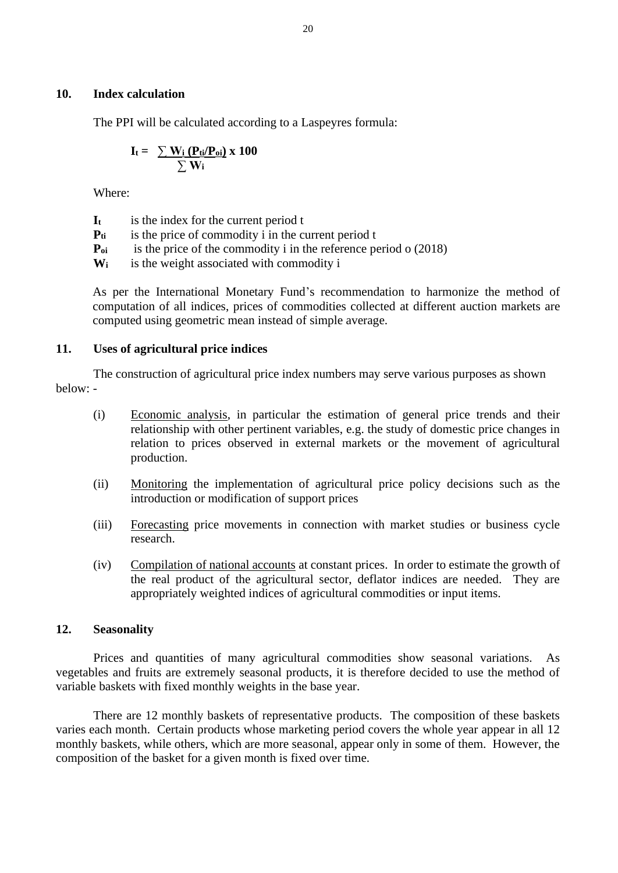# **10. Index calculation**

The PPI will be calculated according to a Laspeyres formula:

$$
I_t = \frac{\sum W_i (P_{ti}/P_{oi})}{\sum W_i} \times 100
$$

Where:

**I<sup>t</sup>** is the index for the current period t

**Pti** is the price of commodity i in the current period t

**P<sub>oi</sub>** is the price of the commodity i in the reference period o (2018)

**W<sub>i</sub>** is the weight associated with commodity i

As per the International Monetary Fund's recommendation to harmonize the method of computation of all indices, prices of commodities collected at different auction markets are computed using geometric mean instead of simple average.

# **11. Uses of agricultural price indices**

The construction of agricultural price index numbers may serve various purposes as shown below: -

- (i) Economic analysis, in particular the estimation of general price trends and their relationship with other pertinent variables, e.g. the study of domestic price changes in relation to prices observed in external markets or the movement of agricultural production.
- (ii) Monitoring the implementation of agricultural price policy decisions such as the introduction or modification of support prices
- (iii) Forecasting price movements in connection with market studies or business cycle research.
- (iv) Compilation of national accounts at constant prices. In order to estimate the growth of the real product of the agricultural sector, deflator indices are needed. They are appropriately weighted indices of agricultural commodities or input items.

# **12. Seasonality**

Prices and quantities of many agricultural commodities show seasonal variations. As vegetables and fruits are extremely seasonal products, it is therefore decided to use the method of variable baskets with fixed monthly weights in the base year.

There are 12 monthly baskets of representative products. The composition of these baskets varies each month. Certain products whose marketing period covers the whole year appear in all 12 monthly baskets, while others, which are more seasonal, appear only in some of them. However, the composition of the basket for a given month is fixed over time.